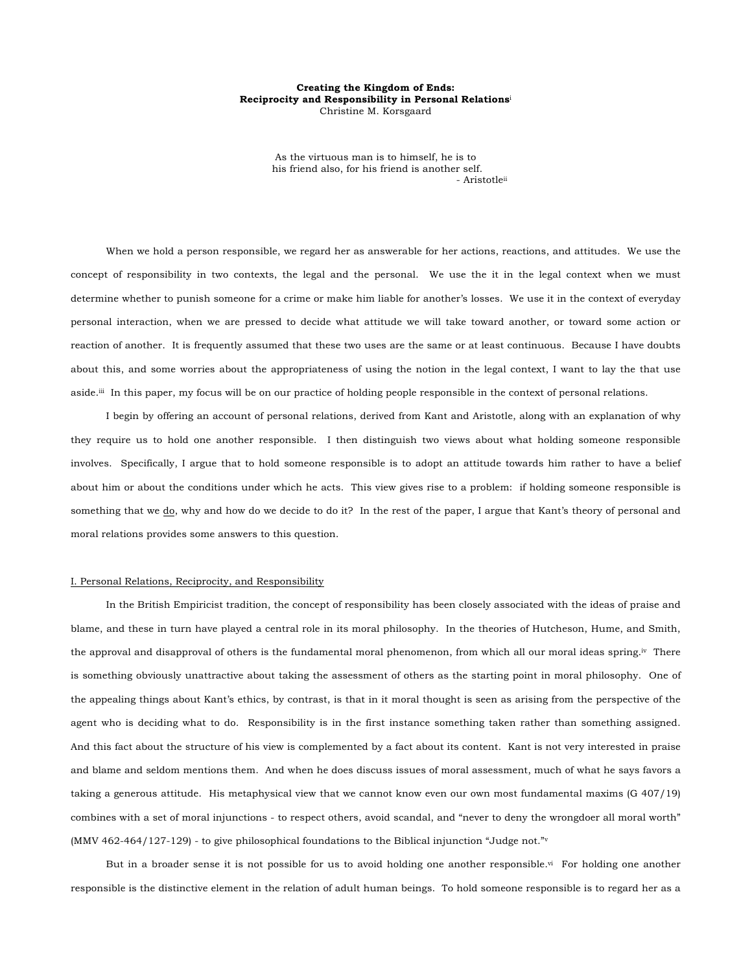### **Creating the Kingdom of Ends: Reciprocity and Responsibility in Personal Relations**<sup>i</sup> Christine M. Korsgaard

As the virtuous man is to himself, he is to his friend also, for his friend is another self. - Aristotleii

When we hold a person responsible, we regard her as answerable for her actions, reactions, and attitudes. We use the concept of responsibility in two contexts, the legal and the personal. We use the it in the legal context when we must determine whether to punish someone for a crime or make him liable for another's losses. We use it in the context of everyday personal interaction, when we are pressed to decide what attitude we will take toward another, or toward some action or reaction of another. It is frequently assumed that these two uses are the same or at least continuous. Because I have doubts about this, and some worries about the appropriateness of using the notion in the legal context, I want to lay the that use aside.iii In this paper, my focus will be on our practice of holding people responsible in the context of personal relations.

I begin by offering an account of personal relations, derived from Kant and Aristotle, along with an explanation of why they require us to hold one another responsible. I then distinguish two views about what holding someone responsible involves. Specifically, I argue that to hold someone responsible is to adopt an attitude towards him rather to have a belief about him or about the conditions under which he acts. This view gives rise to a problem: if holding someone responsible is something that we do, why and how do we decide to do it? In the rest of the paper, I argue that Kant's theory of personal and moral relations provides some answers to this question.

### I. Personal Relations, Reciprocity, and Responsibility

In the British Empiricist tradition, the concept of responsibility has been closely associated with the ideas of praise and blame, and these in turn have played a central role in its moral philosophy. In the theories of Hutcheson, Hume, and Smith, the approval and disapproval of others is the fundamental moral phenomenon, from which all our moral ideas spring.<sup>iv</sup> There is something obviously unattractive about taking the assessment of others as the starting point in moral philosophy. One of the appealing things about Kant's ethics, by contrast, is that in it moral thought is seen as arising from the perspective of the agent who is deciding what to do. Responsibility is in the first instance something taken rather than something assigned. And this fact about the structure of his view is complemented by a fact about its content. Kant is not very interested in praise and blame and seldom mentions them. And when he does discuss issues of moral assessment, much of what he says favors a taking a generous attitude. His metaphysical view that we cannot know even our own most fundamental maxims (G 407/19) combines with a set of moral injunctions - to respect others, avoid scandal, and "never to deny the wrongdoer all moral worth" (MMV 462-464/127-129) - to give philosophical foundations to the Biblical injunction "Judge not."v

But in a broader sense it is not possible for us to avoid holding one another responsible.<sup>vi</sup> For holding one another responsible is the distinctive element in the relation of adult human beings. To hold someone responsible is to regard her as a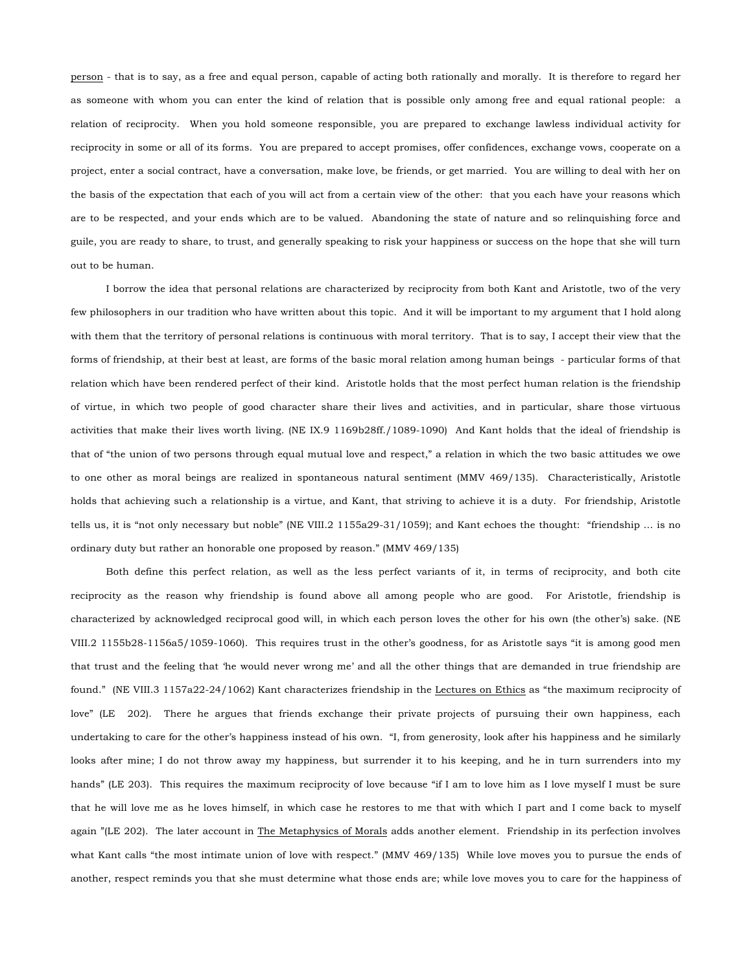person - that is to say, as a free and equal person, capable of acting both rationally and morally. It is therefore to regard her as someone with whom you can enter the kind of relation that is possible only among free and equal rational people: a relation of reciprocity. When you hold someone responsible, you are prepared to exchange lawless individual activity for reciprocity in some or all of its forms. You are prepared to accept promises, offer confidences, exchange vows, cooperate on a project, enter a social contract, have a conversation, make love, be friends, or get married. You are willing to deal with her on the basis of the expectation that each of you will act from a certain view of the other: that you each have your reasons which are to be respected, and your ends which are to be valued. Abandoning the state of nature and so relinquishing force and guile, you are ready to share, to trust, and generally speaking to risk your happiness or success on the hope that she will turn out to be human.

I borrow the idea that personal relations are characterized by reciprocity from both Kant and Aristotle, two of the very few philosophers in our tradition who have written about this topic. And it will be important to my argument that I hold along with them that the territory of personal relations is continuous with moral territory. That is to say, I accept their view that the forms of friendship, at their best at least, are forms of the basic moral relation among human beings - particular forms of that relation which have been rendered perfect of their kind. Aristotle holds that the most perfect human relation is the friendship of virtue, in which two people of good character share their lives and activities, and in particular, share those virtuous activities that make their lives worth living. (NE IX.9 1169b28ff./1089-1090) And Kant holds that the ideal of friendship is that of "the union of two persons through equal mutual love and respect," a relation in which the two basic attitudes we owe to one other as moral beings are realized in spontaneous natural sentiment (MMV 469/135). Characteristically, Aristotle holds that achieving such a relationship is a virtue, and Kant, that striving to achieve it is a duty. For friendship, Aristotle tells us, it is "not only necessary but noble" (NE VIII.2 1155a29-31/1059); and Kant echoes the thought: "friendship … is no ordinary duty but rather an honorable one proposed by reason." (MMV 469/135)

Both define this perfect relation, as well as the less perfect variants of it, in terms of reciprocity, and both cite reciprocity as the reason why friendship is found above all among people who are good. For Aristotle, friendship is characterized by acknowledged reciprocal good will, in which each person loves the other for his own (the other's) sake. (NE VIII.2 1155b28-1156a5/1059-1060). This requires trust in the other's goodness, for as Aristotle says "it is among good men that trust and the feeling that 'he would never wrong me' and all the other things that are demanded in true friendship are found." (NE VIII.3 1157a22-24/1062) Kant characterizes friendship in the Lectures on Ethics as "the maximum reciprocity of love" (LE 202). There he argues that friends exchange their private projects of pursuing their own happiness, each undertaking to care for the other's happiness instead of his own. "I, from generosity, look after his happiness and he similarly looks after mine; I do not throw away my happiness, but surrender it to his keeping, and he in turn surrenders into my hands" (LE 203). This requires the maximum reciprocity of love because "if I am to love him as I love myself I must be sure that he will love me as he loves himself, in which case he restores to me that with which I part and I come back to myself again "(LE 202). The later account in The Metaphysics of Morals adds another element. Friendship in its perfection involves what Kant calls "the most intimate union of love with respect." (MMV 469/135) While love moves you to pursue the ends of another, respect reminds you that she must determine what those ends are; while love moves you to care for the happiness of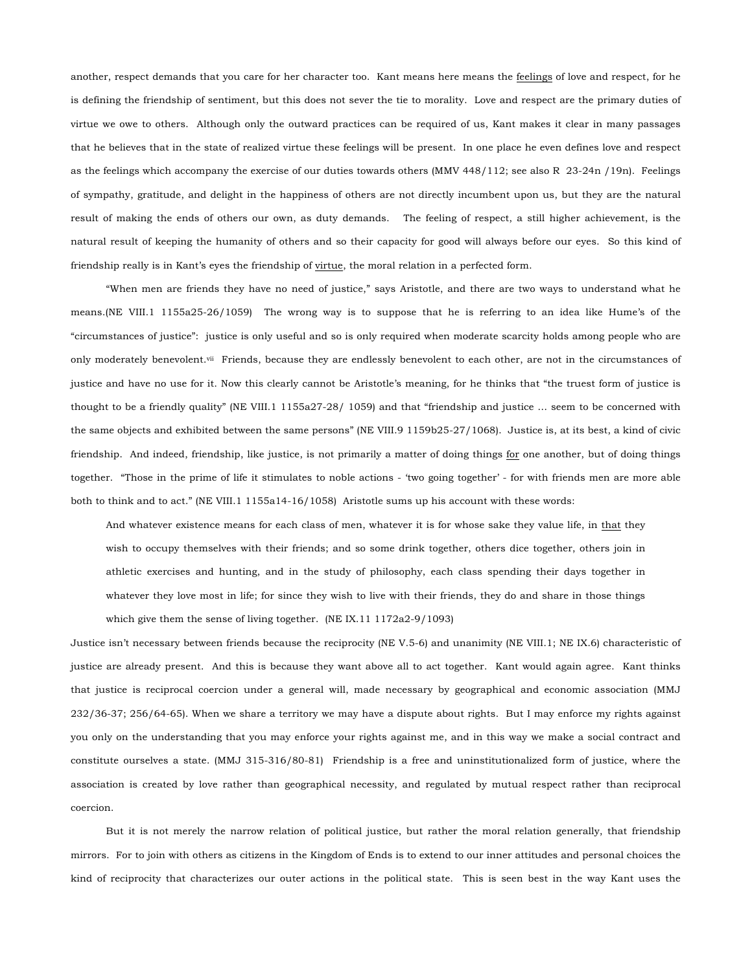another, respect demands that you care for her character too. Kant means here means the feelings of love and respect, for he is defining the friendship of sentiment, but this does not sever the tie to morality. Love and respect are the primary duties of virtue we owe to others. Although only the outward practices can be required of us, Kant makes it clear in many passages that he believes that in the state of realized virtue these feelings will be present. In one place he even defines love and respect as the feelings which accompany the exercise of our duties towards others (MMV 448/112; see also R 23-24n /19n). Feelings of sympathy, gratitude, and delight in the happiness of others are not directly incumbent upon us, but they are the natural result of making the ends of others our own, as duty demands. The feeling of respect, a still higher achievement, is the natural result of keeping the humanity of others and so their capacity for good will always before our eyes. So this kind of friendship really is in Kant's eyes the friendship of virtue, the moral relation in a perfected form.

"When men are friends they have no need of justice," says Aristotle, and there are two ways to understand what he means.(NE VIII.1 1155a25-26/1059) The wrong way is to suppose that he is referring to an idea like Hume's of the "circumstances of justice": justice is only useful and so is only required when moderate scarcity holds among people who are only moderately benevolent.vii Friends, because they are endlessly benevolent to each other, are not in the circumstances of justice and have no use for it. Now this clearly cannot be Aristotle's meaning, for he thinks that "the truest form of justice is thought to be a friendly quality" (NE VIII.1 1155a27-28/ 1059) and that "friendship and justice … seem to be concerned with the same objects and exhibited between the same persons" (NE VIII.9 1159b25-27/1068). Justice is, at its best, a kind of civic friendship. And indeed, friendship, like justice, is not primarily a matter of doing things for one another, but of doing things together. "Those in the prime of life it stimulates to noble actions - 'two going together' - for with friends men are more able both to think and to act." (NE VIII.1 1155a14-16/1058) Aristotle sums up his account with these words:

And whatever existence means for each class of men, whatever it is for whose sake they value life, in that they wish to occupy themselves with their friends; and so some drink together, others dice together, others join in athletic exercises and hunting, and in the study of philosophy, each class spending their days together in whatever they love most in life; for since they wish to live with their friends, they do and share in those things which give them the sense of living together. (NE IX.11 1172a2-9/1093)

Justice isn't necessary between friends because the reciprocity (NE V.5-6) and unanimity (NE VIII.1; NE IX.6) characteristic of justice are already present. And this is because they want above all to act together. Kant would again agree. Kant thinks that justice is reciprocal coercion under a general will, made necessary by geographical and economic association (MMJ 232/36-37; 256/64-65). When we share a territory we may have a dispute about rights. But I may enforce my rights against you only on the understanding that you may enforce your rights against me, and in this way we make a social contract and constitute ourselves a state. (MMJ 315-316/80-81) Friendship is a free and uninstitutionalized form of justice, where the association is created by love rather than geographical necessity, and regulated by mutual respect rather than reciprocal coercion.

But it is not merely the narrow relation of political justice, but rather the moral relation generally, that friendship mirrors. For to join with others as citizens in the Kingdom of Ends is to extend to our inner attitudes and personal choices the kind of reciprocity that characterizes our outer actions in the political state. This is seen best in the way Kant uses the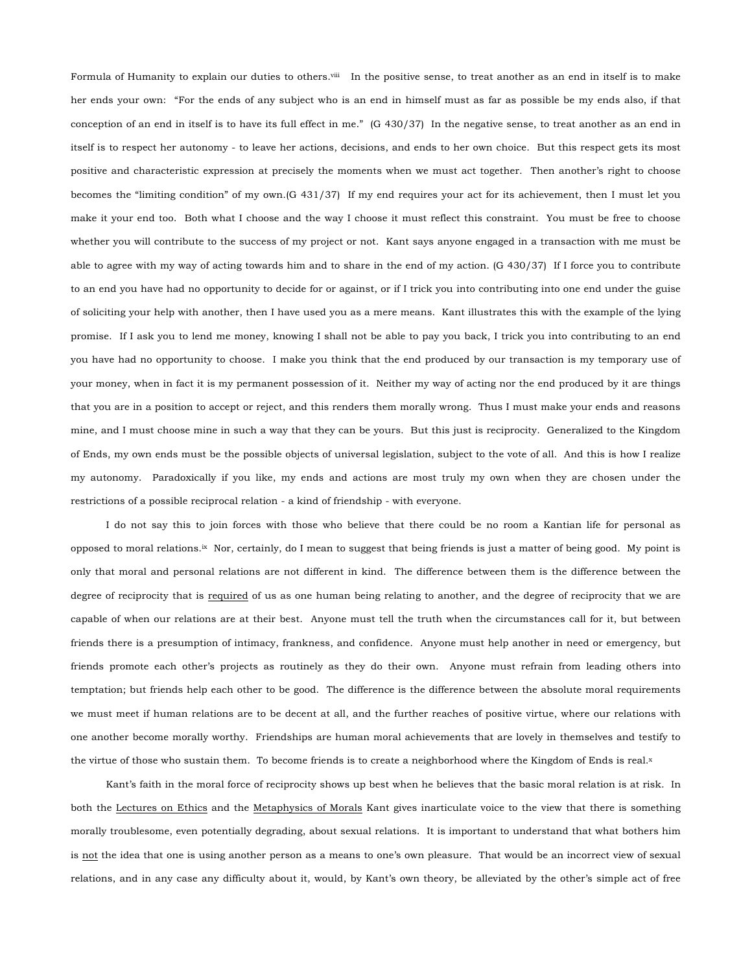Formula of Humanity to explain our duties to others.<sup>viii</sup> In the positive sense, to treat another as an end in itself is to make her ends your own: "For the ends of any subject who is an end in himself must as far as possible be my ends also, if that conception of an end in itself is to have its full effect in me." (G 430/37) In the negative sense, to treat another as an end in itself is to respect her autonomy - to leave her actions, decisions, and ends to her own choice. But this respect gets its most positive and characteristic expression at precisely the moments when we must act together. Then another's right to choose becomes the "limiting condition" of my own.(G 431/37) If my end requires your act for its achievement, then I must let you make it your end too. Both what I choose and the way I choose it must reflect this constraint. You must be free to choose whether you will contribute to the success of my project or not. Kant says anyone engaged in a transaction with me must be able to agree with my way of acting towards him and to share in the end of my action. (G 430/37) If I force you to contribute to an end you have had no opportunity to decide for or against, or if I trick you into contributing into one end under the guise of soliciting your help with another, then I have used you as a mere means. Kant illustrates this with the example of the lying promise. If I ask you to lend me money, knowing I shall not be able to pay you back, I trick you into contributing to an end you have had no opportunity to choose. I make you think that the end produced by our transaction is my temporary use of your money, when in fact it is my permanent possession of it. Neither my way of acting nor the end produced by it are things that you are in a position to accept or reject, and this renders them morally wrong. Thus I must make your ends and reasons mine, and I must choose mine in such a way that they can be yours. But this just is reciprocity. Generalized to the Kingdom of Ends, my own ends must be the possible objects of universal legislation, subject to the vote of all. And this is how I realize my autonomy. Paradoxically if you like, my ends and actions are most truly my own when they are chosen under the restrictions of a possible reciprocal relation - a kind of friendship - with everyone.

I do not say this to join forces with those who believe that there could be no room a Kantian life for personal as opposed to moral relations.ix Nor, certainly, do I mean to suggest that being friends is just a matter of being good. My point is only that moral and personal relations are not different in kind. The difference between them is the difference between the degree of reciprocity that is required of us as one human being relating to another, and the degree of reciprocity that we are capable of when our relations are at their best. Anyone must tell the truth when the circumstances call for it, but between friends there is a presumption of intimacy, frankness, and confidence. Anyone must help another in need or emergency, but friends promote each other's projects as routinely as they do their own. Anyone must refrain from leading others into temptation; but friends help each other to be good. The difference is the difference between the absolute moral requirements we must meet if human relations are to be decent at all, and the further reaches of positive virtue, where our relations with one another become morally worthy. Friendships are human moral achievements that are lovely in themselves and testify to the virtue of those who sustain them. To become friends is to create a neighborhood where the Kingdom of Ends is real.x

Kant's faith in the moral force of reciprocity shows up best when he believes that the basic moral relation is at risk. In both the Lectures on Ethics and the Metaphysics of Morals Kant gives inarticulate voice to the view that there is something morally troublesome, even potentially degrading, about sexual relations. It is important to understand that what bothers him is not the idea that one is using another person as a means to one's own pleasure. That would be an incorrect view of sexual relations, and in any case any difficulty about it, would, by Kant's own theory, be alleviated by the other's simple act of free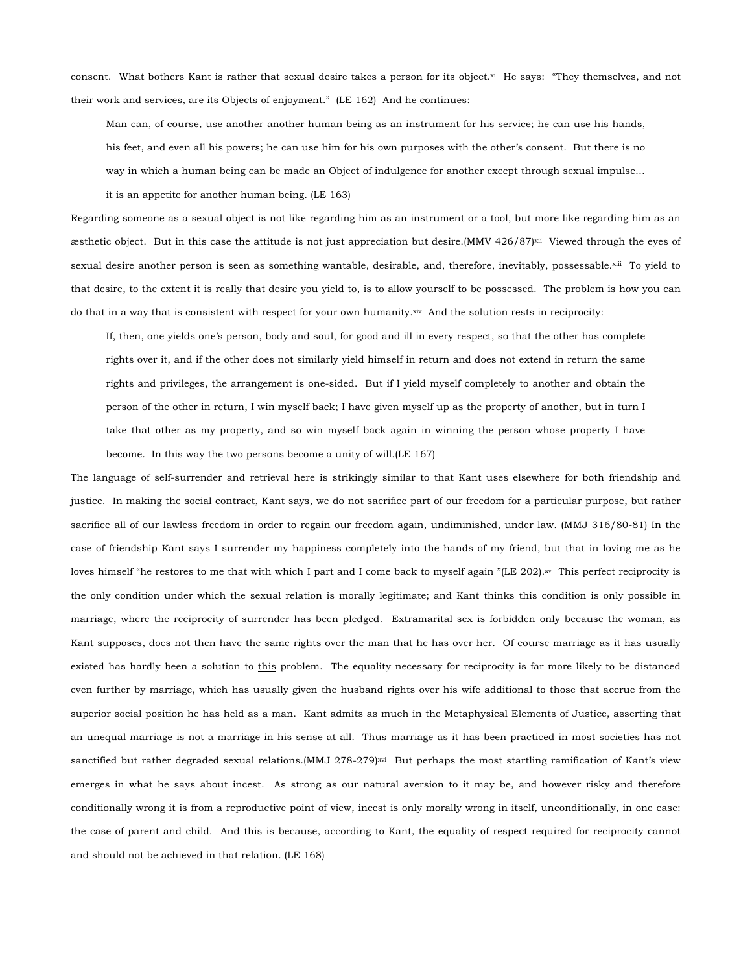consent. What bothers Kant is rather that sexual desire takes a person for its object.xi He says: "They themselves, and not their work and services, are its Objects of enjoyment." (LE 162) And he continues:

Man can, of course, use another another human being as an instrument for his service; he can use his hands, his feet, and even all his powers; he can use him for his own purposes with the other's consent. But there is no way in which a human being can be made an Object of indulgence for another except through sexual impulse…

it is an appetite for another human being. (LE 163)

Regarding someone as a sexual object is not like regarding him as an instrument or a tool, but more like regarding him as an æsthetic object. But in this case the attitude is not just appreciation but desire.(MMV 426/87)<sup>xii</sup> Viewed through the eyes of sexual desire another person is seen as something wantable, desirable, and, therefore, inevitably, possessable.xiii To yield to that desire, to the extent it is really that desire you yield to, is to allow yourself to be possessed. The problem is how you can do that in a way that is consistent with respect for your own humanity.xiv And the solution rests in reciprocity:

If, then, one yields one's person, body and soul, for good and ill in every respect, so that the other has complete rights over it, and if the other does not similarly yield himself in return and does not extend in return the same rights and privileges, the arrangement is one-sided. But if I yield myself completely to another and obtain the person of the other in return, I win myself back; I have given myself up as the property of another, but in turn I take that other as my property, and so win myself back again in winning the person whose property I have become. In this way the two persons become a unity of will.(LE 167)

The language of self-surrender and retrieval here is strikingly similar to that Kant uses elsewhere for both friendship and justice. In making the social contract, Kant says, we do not sacrifice part of our freedom for a particular purpose, but rather sacrifice all of our lawless freedom in order to regain our freedom again, undiminished, under law. (MMJ 316/80-81) In the case of friendship Kant says I surrender my happiness completely into the hands of my friend, but that in loving me as he loves himself "he restores to me that with which I part and I come back to myself again "(LE 202).<sup>xv</sup> This perfect reciprocity is the only condition under which the sexual relation is morally legitimate; and Kant thinks this condition is only possible in marriage, where the reciprocity of surrender has been pledged. Extramarital sex is forbidden only because the woman, as Kant supposes, does not then have the same rights over the man that he has over her. Of course marriage as it has usually existed has hardly been a solution to this problem. The equality necessary for reciprocity is far more likely to be distanced even further by marriage, which has usually given the husband rights over his wife additional to those that accrue from the superior social position he has held as a man. Kant admits as much in the Metaphysical Elements of Justice, asserting that an unequal marriage is not a marriage in his sense at all. Thus marriage as it has been practiced in most societies has not sanctified but rather degraded sexual relations.(MMJ 278-279)xvi But perhaps the most startling ramification of Kant's view emerges in what he says about incest. As strong as our natural aversion to it may be, and however risky and therefore conditionally wrong it is from a reproductive point of view, incest is only morally wrong in itself, unconditionally, in one case: the case of parent and child. And this is because, according to Kant, the equality of respect required for reciprocity cannot and should not be achieved in that relation. (LE 168)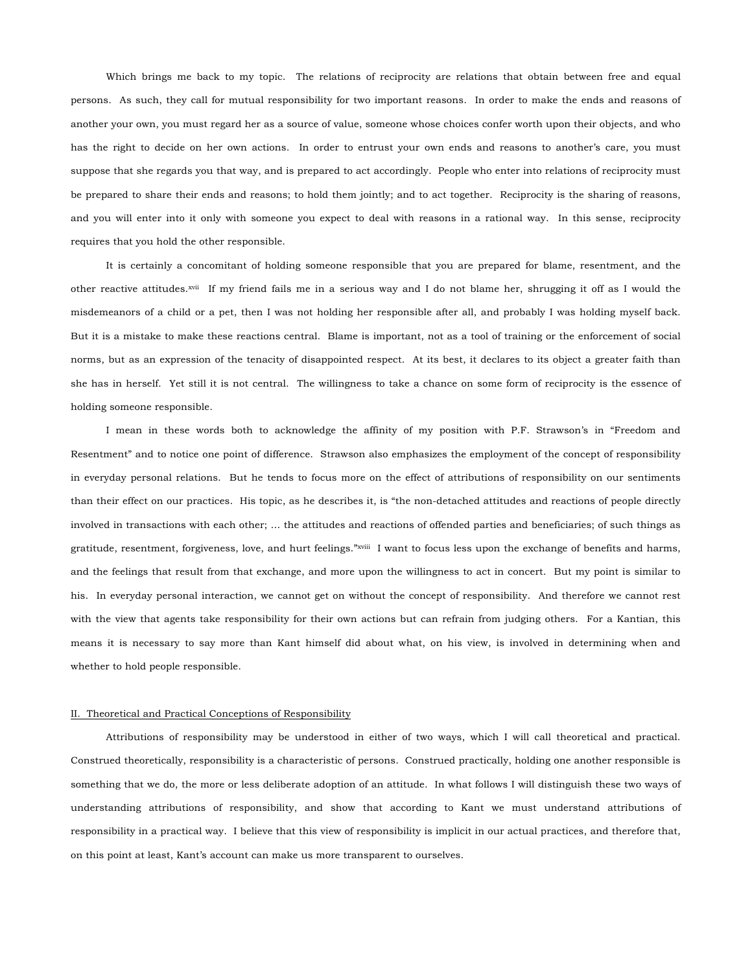Which brings me back to my topic. The relations of reciprocity are relations that obtain between free and equal persons. As such, they call for mutual responsibility for two important reasons. In order to make the ends and reasons of another your own, you must regard her as a source of value, someone whose choices confer worth upon their objects, and who has the right to decide on her own actions. In order to entrust your own ends and reasons to another's care, you must suppose that she regards you that way, and is prepared to act accordingly. People who enter into relations of reciprocity must be prepared to share their ends and reasons; to hold them jointly; and to act together. Reciprocity is the sharing of reasons, and you will enter into it only with someone you expect to deal with reasons in a rational way. In this sense, reciprocity requires that you hold the other responsible.

It is certainly a concomitant of holding someone responsible that you are prepared for blame, resentment, and the other reactive attitudes.<sup>xvii</sup> If my friend fails me in a serious way and I do not blame her, shrugging it off as I would the misdemeanors of a child or a pet, then I was not holding her responsible after all, and probably I was holding myself back. But it is a mistake to make these reactions central. Blame is important, not as a tool of training or the enforcement of social norms, but as an expression of the tenacity of disappointed respect. At its best, it declares to its object a greater faith than she has in herself. Yet still it is not central. The willingness to take a chance on some form of reciprocity is the essence of holding someone responsible.

I mean in these words both to acknowledge the affinity of my position with P.F. Strawson's in "Freedom and Resentment" and to notice one point of difference. Strawson also emphasizes the employment of the concept of responsibility in everyday personal relations. But he tends to focus more on the effect of attributions of responsibility on our sentiments than their effect on our practices. His topic, as he describes it, is "the non-detached attitudes and reactions of people directly involved in transactions with each other; … the attitudes and reactions of offended parties and beneficiaries; of such things as gratitude, resentment, forgiveness, love, and hurt feelings."xviii I want to focus less upon the exchange of benefits and harms, and the feelings that result from that exchange, and more upon the willingness to act in concert. But my point is similar to his. In everyday personal interaction, we cannot get on without the concept of responsibility. And therefore we cannot rest with the view that agents take responsibility for their own actions but can refrain from judging others. For a Kantian, this means it is necessary to say more than Kant himself did about what, on his view, is involved in determining when and whether to hold people responsible.

# II. Theoretical and Practical Conceptions of Responsibility

Attributions of responsibility may be understood in either of two ways, which I will call theoretical and practical. Construed theoretically, responsibility is a characteristic of persons. Construed practically, holding one another responsible is something that we do, the more or less deliberate adoption of an attitude. In what follows I will distinguish these two ways of understanding attributions of responsibility, and show that according to Kant we must understand attributions of responsibility in a practical way. I believe that this view of responsibility is implicit in our actual practices, and therefore that, on this point at least, Kant's account can make us more transparent to ourselves.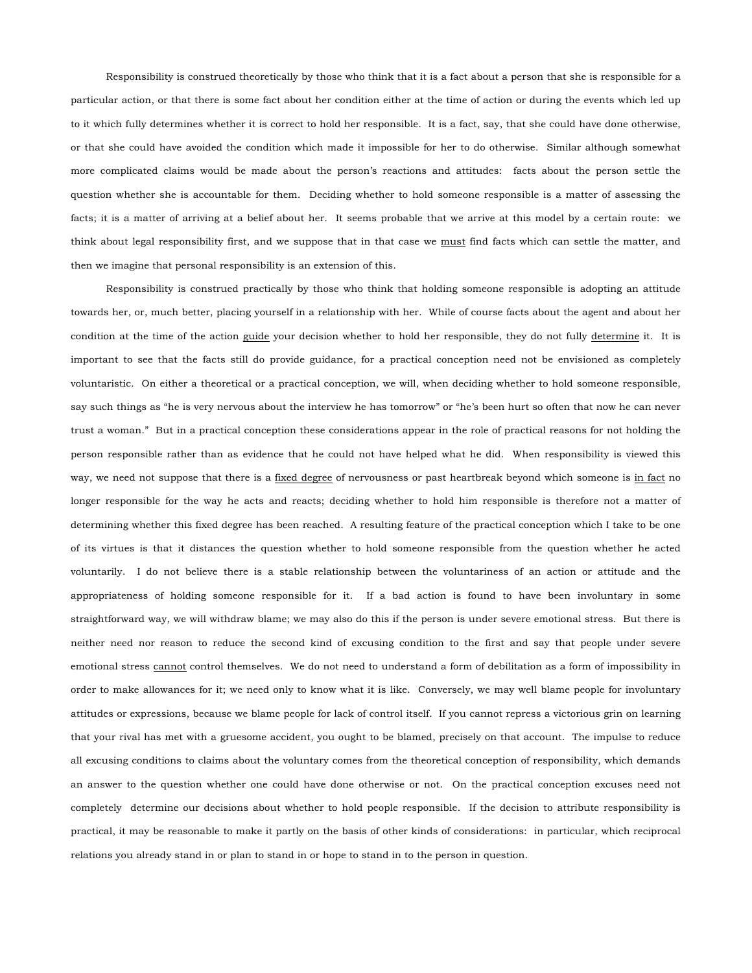Responsibility is construed theoretically by those who think that it is a fact about a person that she is responsible for a particular action, or that there is some fact about her condition either at the time of action or during the events which led up to it which fully determines whether it is correct to hold her responsible. It is a fact, say, that she could have done otherwise, or that she could have avoided the condition which made it impossible for her to do otherwise. Similar although somewhat more complicated claims would be made about the person's reactions and attitudes: facts about the person settle the question whether she is accountable for them. Deciding whether to hold someone responsible is a matter of assessing the facts; it is a matter of arriving at a belief about her. It seems probable that we arrive at this model by a certain route: we think about legal responsibility first, and we suppose that in that case we must find facts which can settle the matter, and then we imagine that personal responsibility is an extension of this.

Responsibility is construed practically by those who think that holding someone responsible is adopting an attitude towards her, or, much better, placing yourself in a relationship with her. While of course facts about the agent and about her condition at the time of the action guide your decision whether to hold her responsible, they do not fully determine it. It is important to see that the facts still do provide guidance, for a practical conception need not be envisioned as completely voluntaristic. On either a theoretical or a practical conception, we will, when deciding whether to hold someone responsible, say such things as "he is very nervous about the interview he has tomorrow" or "he's been hurt so often that now he can never trust a woman." But in a practical conception these considerations appear in the role of practical reasons for not holding the person responsible rather than as evidence that he could not have helped what he did. When responsibility is viewed this way, we need not suppose that there is a fixed degree of nervousness or past heartbreak beyond which someone is in fact no longer responsible for the way he acts and reacts; deciding whether to hold him responsible is therefore not a matter of determining whether this fixed degree has been reached. A resulting feature of the practical conception which I take to be one of its virtues is that it distances the question whether to hold someone responsible from the question whether he acted voluntarily. I do not believe there is a stable relationship between the voluntariness of an action or attitude and the appropriateness of holding someone responsible for it. If a bad action is found to have been involuntary in some straightforward way, we will withdraw blame; we may also do this if the person is under severe emotional stress. But there is neither need nor reason to reduce the second kind of excusing condition to the first and say that people under severe emotional stress cannot control themselves. We do not need to understand a form of debilitation as a form of impossibility in order to make allowances for it; we need only to know what it is like. Conversely, we may well blame people for involuntary attitudes or expressions, because we blame people for lack of control itself. If you cannot repress a victorious grin on learning that your rival has met with a gruesome accident, you ought to be blamed, precisely on that account. The impulse to reduce all excusing conditions to claims about the voluntary comes from the theoretical conception of responsibility, which demands an answer to the question whether one could have done otherwise or not. On the practical conception excuses need not completely determine our decisions about whether to hold people responsible. If the decision to attribute responsibility is practical, it may be reasonable to make it partly on the basis of other kinds of considerations: in particular, which reciprocal relations you already stand in or plan to stand in or hope to stand in to the person in question.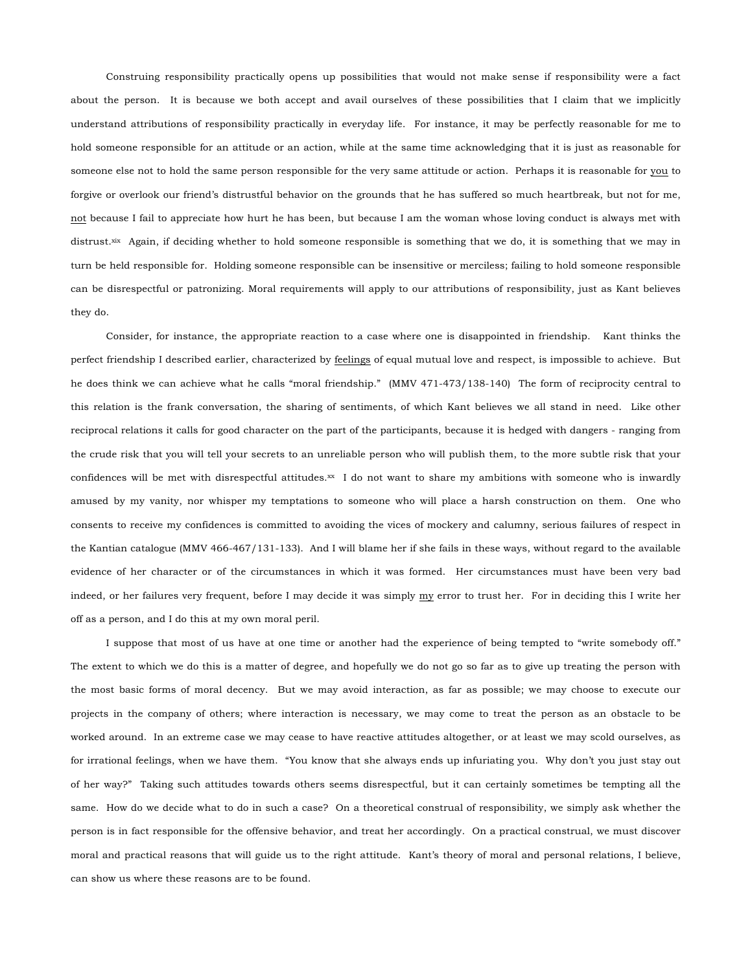Construing responsibility practically opens up possibilities that would not make sense if responsibility were a fact about the person. It is because we both accept and avail ourselves of these possibilities that I claim that we implicitly understand attributions of responsibility practically in everyday life. For instance, it may be perfectly reasonable for me to hold someone responsible for an attitude or an action, while at the same time acknowledging that it is just as reasonable for someone else not to hold the same person responsible for the very same attitude or action. Perhaps it is reasonable for you to forgive or overlook our friend's distrustful behavior on the grounds that he has suffered so much heartbreak, but not for me, not because I fail to appreciate how hurt he has been, but because I am the woman whose loving conduct is always met with distrust.xix Again, if deciding whether to hold someone responsible is something that we do, it is something that we may in turn be held responsible for. Holding someone responsible can be insensitive or merciless; failing to hold someone responsible can be disrespectful or patronizing. Moral requirements will apply to our attributions of responsibility, just as Kant believes they do.

Consider, for instance, the appropriate reaction to a case where one is disappointed in friendship. Kant thinks the perfect friendship I described earlier, characterized by feelings of equal mutual love and respect, is impossible to achieve. But he does think we can achieve what he calls "moral friendship." (MMV 471-473/138-140) The form of reciprocity central to this relation is the frank conversation, the sharing of sentiments, of which Kant believes we all stand in need. Like other reciprocal relations it calls for good character on the part of the participants, because it is hedged with dangers - ranging from the crude risk that you will tell your secrets to an unreliable person who will publish them, to the more subtle risk that your confidences will be met with disrespectful attitudes.<sup>xx</sup> I do not want to share my ambitions with someone who is inwardly amused by my vanity, nor whisper my temptations to someone who will place a harsh construction on them. One who consents to receive my confidences is committed to avoiding the vices of mockery and calumny, serious failures of respect in the Kantian catalogue (MMV 466-467/131-133). And I will blame her if she fails in these ways, without regard to the available evidence of her character or of the circumstances in which it was formed. Her circumstances must have been very bad indeed, or her failures very frequent, before I may decide it was simply my error to trust her. For in deciding this I write her off as a person, and I do this at my own moral peril.

I suppose that most of us have at one time or another had the experience of being tempted to "write somebody off." The extent to which we do this is a matter of degree, and hopefully we do not go so far as to give up treating the person with the most basic forms of moral decency. But we may avoid interaction, as far as possible; we may choose to execute our projects in the company of others; where interaction is necessary, we may come to treat the person as an obstacle to be worked around. In an extreme case we may cease to have reactive attitudes altogether, or at least we may scold ourselves, as for irrational feelings, when we have them. "You know that she always ends up infuriating you. Why don't you just stay out of her way?" Taking such attitudes towards others seems disrespectful, but it can certainly sometimes be tempting all the same. How do we decide what to do in such a case? On a theoretical construal of responsibility, we simply ask whether the person is in fact responsible for the offensive behavior, and treat her accordingly. On a practical construal, we must discover moral and practical reasons that will guide us to the right attitude. Kant's theory of moral and personal relations, I believe, can show us where these reasons are to be found.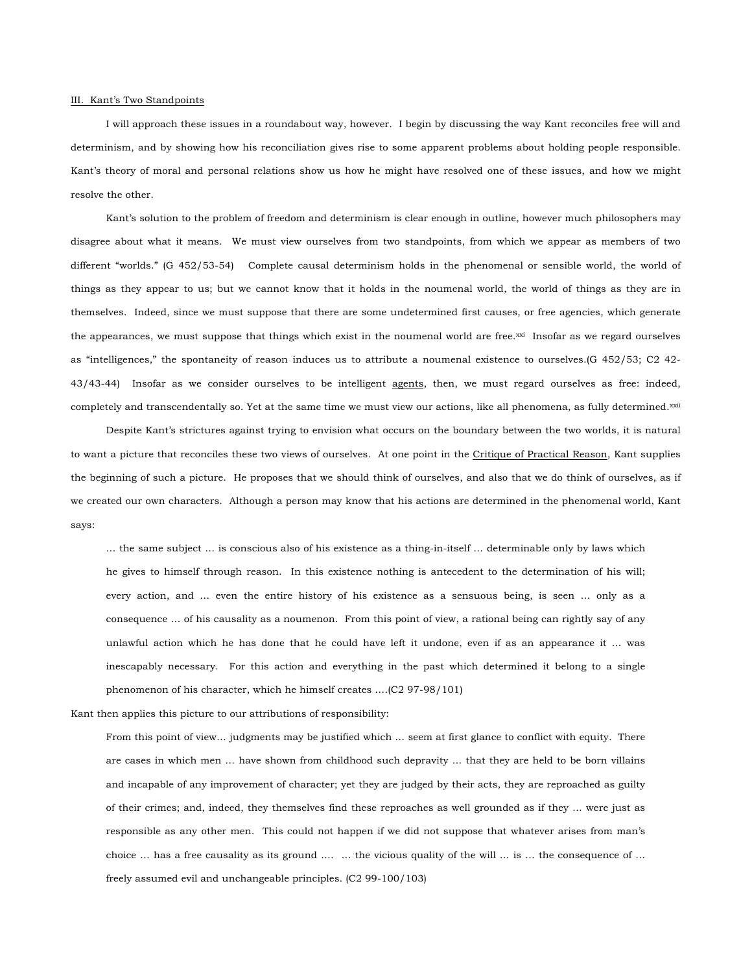## III. Kant's Two Standpoints

I will approach these issues in a roundabout way, however. I begin by discussing the way Kant reconciles free will and determinism, and by showing how his reconciliation gives rise to some apparent problems about holding people responsible. Kant's theory of moral and personal relations show us how he might have resolved one of these issues, and how we might resolve the other.

Kant's solution to the problem of freedom and determinism is clear enough in outline, however much philosophers may disagree about what it means. We must view ourselves from two standpoints, from which we appear as members of two different "worlds." (G 452/53-54) Complete causal determinism holds in the phenomenal or sensible world, the world of things as they appear to us; but we cannot know that it holds in the noumenal world, the world of things as they are in themselves. Indeed, since we must suppose that there are some undetermined first causes, or free agencies, which generate the appearances, we must suppose that things which exist in the noumenal world are free.xxi Insofar as we regard ourselves as "intelligences," the spontaneity of reason induces us to attribute a noumenal existence to ourselves.(G 452/53; C2 42- 43/43-44) Insofar as we consider ourselves to be intelligent agents, then, we must regard ourselves as free: indeed, completely and transcendentally so. Yet at the same time we must view our actions, like all phenomena, as fully determined.xxii

Despite Kant's strictures against trying to envision what occurs on the boundary between the two worlds, it is natural to want a picture that reconciles these two views of ourselves. At one point in the Critique of Practical Reason, Kant supplies the beginning of such a picture. He proposes that we should think of ourselves, and also that we do think of ourselves, as if we created our own characters. Although a person may know that his actions are determined in the phenomenal world, Kant says:

… the same subject … is conscious also of his existence as a thing-in-itself … determinable only by laws which he gives to himself through reason. In this existence nothing is antecedent to the determination of his will; every action, and … even the entire history of his existence as a sensuous being, is seen … only as a consequence … of his causality as a noumenon. From this point of view, a rational being can rightly say of any unlawful action which he has done that he could have left it undone, even if as an appearance it … was inescapably necessary. For this action and everything in the past which determined it belong to a single phenomenon of his character, which he himself creates ….(C2 97-98/101)

Kant then applies this picture to our attributions of responsibility:

From this point of view… judgments may be justified which … seem at first glance to conflict with equity. There are cases in which men … have shown from childhood such depravity … that they are held to be born villains and incapable of any improvement of character; yet they are judged by their acts, they are reproached as guilty of their crimes; and, indeed, they themselves find these reproaches as well grounded as if they … were just as responsible as any other men. This could not happen if we did not suppose that whatever arises from man's choice … has a free causality as its ground …. … the vicious quality of the will … is … the consequence of … freely assumed evil and unchangeable principles. (C2 99-100/103)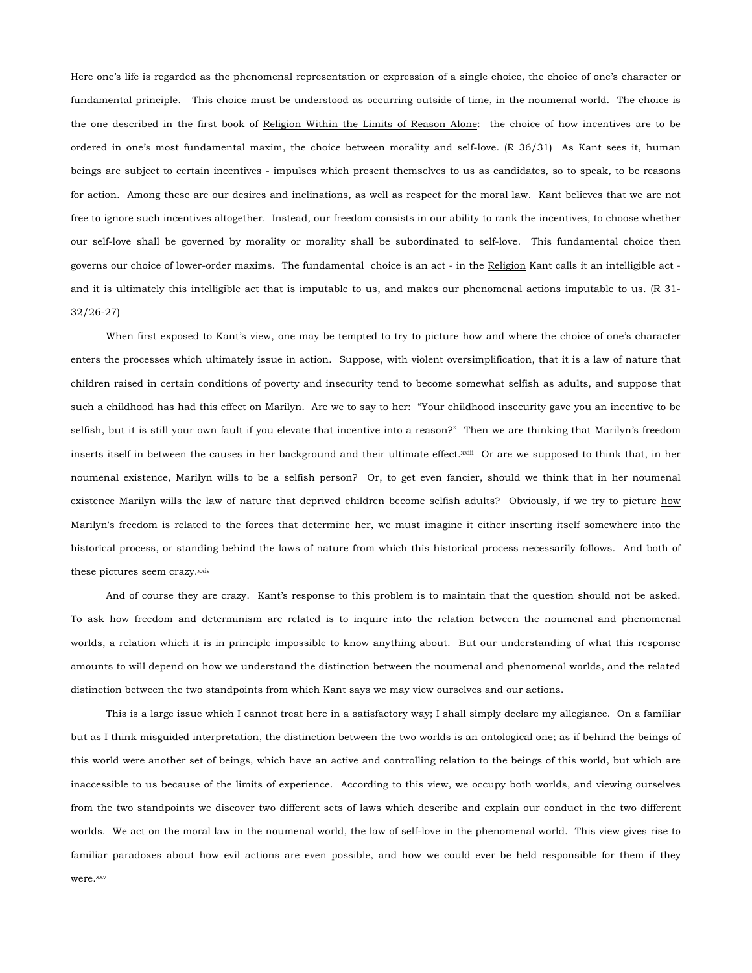Here one's life is regarded as the phenomenal representation or expression of a single choice, the choice of one's character or fundamental principle. This choice must be understood as occurring outside of time, in the noumenal world. The choice is the one described in the first book of Religion Within the Limits of Reason Alone: the choice of how incentives are to be ordered in one's most fundamental maxim, the choice between morality and self-love. (R 36/31) As Kant sees it, human beings are subject to certain incentives - impulses which present themselves to us as candidates, so to speak, to be reasons for action. Among these are our desires and inclinations, as well as respect for the moral law. Kant believes that we are not free to ignore such incentives altogether. Instead, our freedom consists in our ability to rank the incentives, to choose whether our self-love shall be governed by morality or morality shall be subordinated to self-love. This fundamental choice then governs our choice of lower-order maxims. The fundamental choice is an act - in the Religion Kant calls it an intelligible act and it is ultimately this intelligible act that is imputable to us, and makes our phenomenal actions imputable to us. (R 31- 32/26-27)

When first exposed to Kant's view, one may be tempted to try to picture how and where the choice of one's character enters the processes which ultimately issue in action. Suppose, with violent oversimplification, that it is a law of nature that children raised in certain conditions of poverty and insecurity tend to become somewhat selfish as adults, and suppose that such a childhood has had this effect on Marilyn. Are we to say to her: "Your childhood insecurity gave you an incentive to be selfish, but it is still your own fault if you elevate that incentive into a reason?" Then we are thinking that Marilyn's freedom inserts itself in between the causes in her background and their ultimate effect.<sup>xxiii</sup> Or are we supposed to think that, in her noumenal existence, Marilyn wills to be a selfish person? Or, to get even fancier, should we think that in her noumenal existence Marilyn wills the law of nature that deprived children become selfish adults? Obviously, if we try to picture how Marilyn's freedom is related to the forces that determine her, we must imagine it either inserting itself somewhere into the historical process, or standing behind the laws of nature from which this historical process necessarily follows. And both of these pictures seem crazy.xxiv

And of course they are crazy. Kant's response to this problem is to maintain that the question should not be asked. To ask how freedom and determinism are related is to inquire into the relation between the noumenal and phenomenal worlds, a relation which it is in principle impossible to know anything about. But our understanding of what this response amounts to will depend on how we understand the distinction between the noumenal and phenomenal worlds, and the related distinction between the two standpoints from which Kant says we may view ourselves and our actions.

This is a large issue which I cannot treat here in a satisfactory way; I shall simply declare my allegiance. On a familiar but as I think misguided interpretation, the distinction between the two worlds is an ontological one; as if behind the beings of this world were another set of beings, which have an active and controlling relation to the beings of this world, but which are inaccessible to us because of the limits of experience. According to this view, we occupy both worlds, and viewing ourselves from the two standpoints we discover two different sets of laws which describe and explain our conduct in the two different worlds. We act on the moral law in the noumenal world, the law of self-love in the phenomenal world. This view gives rise to familiar paradoxes about how evil actions are even possible, and how we could ever be held responsible for them if they were.xxv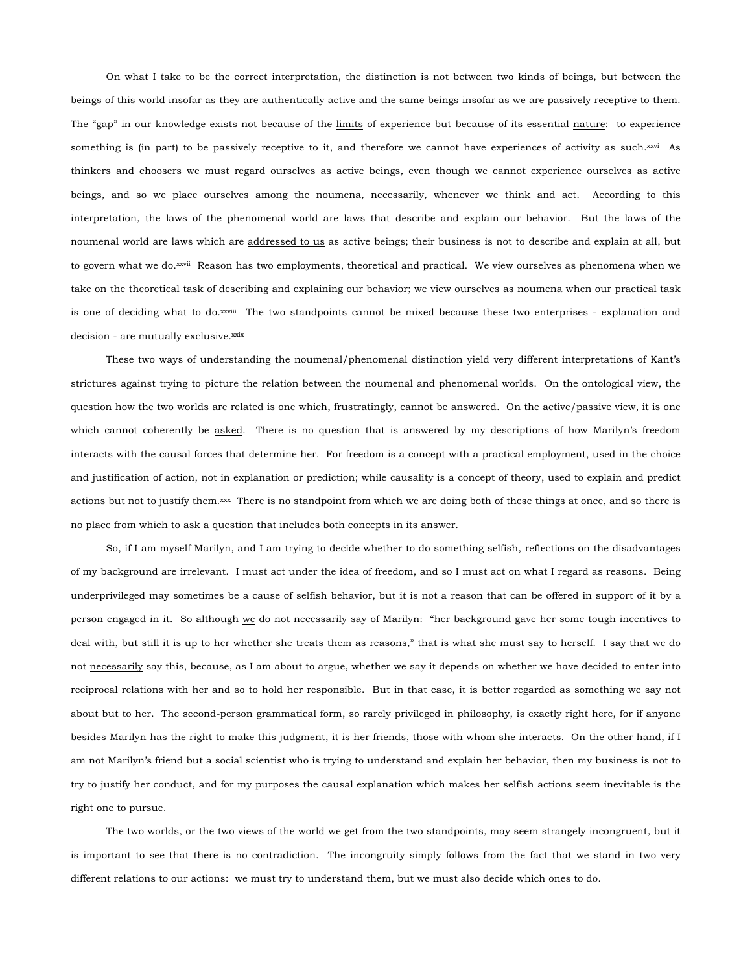On what I take to be the correct interpretation, the distinction is not between two kinds of beings, but between the beings of this world insofar as they are authentically active and the same beings insofar as we are passively receptive to them. The "gap" in our knowledge exists not because of the limits of experience but because of its essential nature: to experience something is (in part) to be passively receptive to it, and therefore we cannot have experiences of activity as such.xxvi As thinkers and choosers we must regard ourselves as active beings, even though we cannot experience ourselves as active beings, and so we place ourselves among the noumena, necessarily, whenever we think and act. According to this interpretation, the laws of the phenomenal world are laws that describe and explain our behavior. But the laws of the noumenal world are laws which are addressed to us as active beings; their business is not to describe and explain at all, but to govern what we do.xxvii Reason has two employments, theoretical and practical. We view ourselves as phenomena when we take on the theoretical task of describing and explaining our behavior; we view ourselves as noumena when our practical task is one of deciding what to do.xxviii The two standpoints cannot be mixed because these two enterprises - explanation and decision - are mutually exclusive.xxix

These two ways of understanding the noumenal/phenomenal distinction yield very different interpretations of Kant's strictures against trying to picture the relation between the noumenal and phenomenal worlds. On the ontological view, the question how the two worlds are related is one which, frustratingly, cannot be answered. On the active/passive view, it is one which cannot coherently be asked. There is no question that is answered by my descriptions of how Marilyn's freedom interacts with the causal forces that determine her. For freedom is a concept with a practical employment, used in the choice and justification of action, not in explanation or prediction; while causality is a concept of theory, used to explain and predict actions but not to justify them.xxx There is no standpoint from which we are doing both of these things at once, and so there is no place from which to ask a question that includes both concepts in its answer.

So, if I am myself Marilyn, and I am trying to decide whether to do something selfish, reflections on the disadvantages of my background are irrelevant. I must act under the idea of freedom, and so I must act on what I regard as reasons. Being underprivileged may sometimes be a cause of selfish behavior, but it is not a reason that can be offered in support of it by a person engaged in it. So although we do not necessarily say of Marilyn: "her background gave her some tough incentives to deal with, but still it is up to her whether she treats them as reasons," that is what she must say to herself. I say that we do not necessarily say this, because, as I am about to argue, whether we say it depends on whether we have decided to enter into reciprocal relations with her and so to hold her responsible. But in that case, it is better regarded as something we say not about but to her. The second-person grammatical form, so rarely privileged in philosophy, is exactly right here, for if anyone besides Marilyn has the right to make this judgment, it is her friends, those with whom she interacts. On the other hand, if I am not Marilyn's friend but a social scientist who is trying to understand and explain her behavior, then my business is not to try to justify her conduct, and for my purposes the causal explanation which makes her selfish actions seem inevitable is the right one to pursue.

The two worlds, or the two views of the world we get from the two standpoints, may seem strangely incongruent, but it is important to see that there is no contradiction. The incongruity simply follows from the fact that we stand in two very different relations to our actions: we must try to understand them, but we must also decide which ones to do.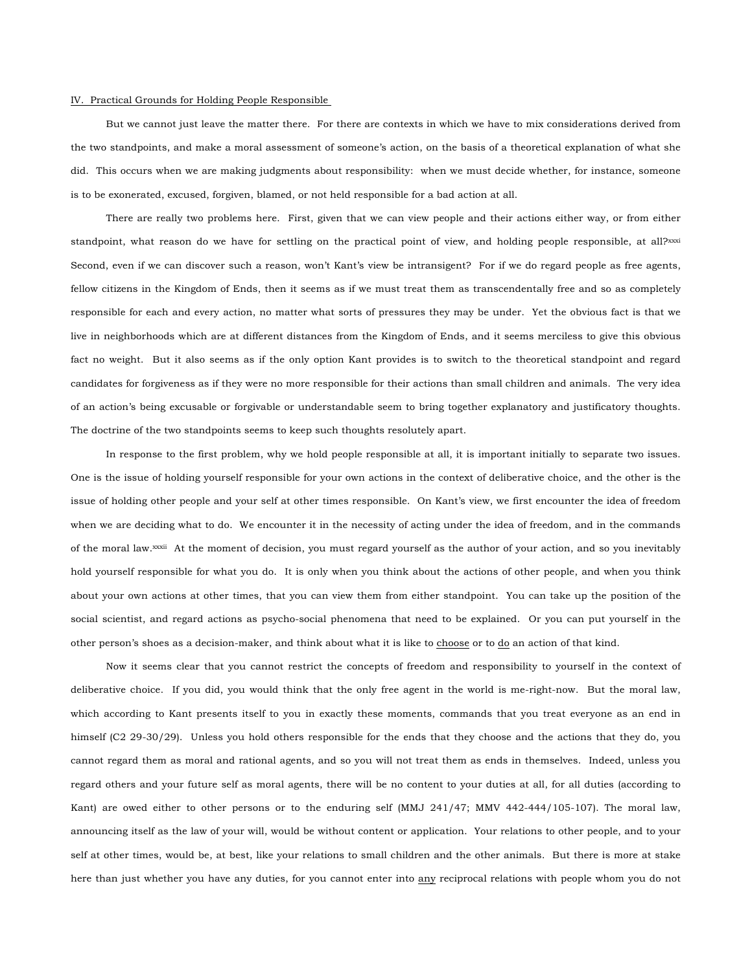## IV. Practical Grounds for Holding People Responsible

But we cannot just leave the matter there. For there are contexts in which we have to mix considerations derived from the two standpoints, and make a moral assessment of someone's action, on the basis of a theoretical explanation of what she did. This occurs when we are making judgments about responsibility: when we must decide whether, for instance, someone is to be exonerated, excused, forgiven, blamed, or not held responsible for a bad action at all.

There are really two problems here. First, given that we can view people and their actions either way, or from either standpoint, what reason do we have for settling on the practical point of view, and holding people responsible, at all?xxxi Second, even if we can discover such a reason, won't Kant's view be intransigent? For if we do regard people as free agents, fellow citizens in the Kingdom of Ends, then it seems as if we must treat them as transcendentally free and so as completely responsible for each and every action, no matter what sorts of pressures they may be under. Yet the obvious fact is that we live in neighborhoods which are at different distances from the Kingdom of Ends, and it seems merciless to give this obvious fact no weight. But it also seems as if the only option Kant provides is to switch to the theoretical standpoint and regard candidates for forgiveness as if they were no more responsible for their actions than small children and animals. The very idea of an action's being excusable or forgivable or understandable seem to bring together explanatory and justificatory thoughts. The doctrine of the two standpoints seems to keep such thoughts resolutely apart.

In response to the first problem, why we hold people responsible at all, it is important initially to separate two issues. One is the issue of holding yourself responsible for your own actions in the context of deliberative choice, and the other is the issue of holding other people and your self at other times responsible. On Kant's view, we first encounter the idea of freedom when we are deciding what to do. We encounter it in the necessity of acting under the idea of freedom, and in the commands of the moral law.xxxii At the moment of decision, you must regard yourself as the author of your action, and so you inevitably hold yourself responsible for what you do. It is only when you think about the actions of other people, and when you think about your own actions at other times, that you can view them from either standpoint. You can take up the position of the social scientist, and regard actions as psycho-social phenomena that need to be explained. Or you can put yourself in the other person's shoes as a decision-maker, and think about what it is like to choose or to do an action of that kind.

Now it seems clear that you cannot restrict the concepts of freedom and responsibility to yourself in the context of deliberative choice. If you did, you would think that the only free agent in the world is me-right-now. But the moral law, which according to Kant presents itself to you in exactly these moments, commands that you treat everyone as an end in himself (C2 29-30/29). Unless you hold others responsible for the ends that they choose and the actions that they do, you cannot regard them as moral and rational agents, and so you will not treat them as ends in themselves. Indeed, unless you regard others and your future self as moral agents, there will be no content to your duties at all, for all duties (according to Kant) are owed either to other persons or to the enduring self (MMJ 241/47; MMV 442-444/105-107). The moral law, announcing itself as the law of your will, would be without content or application. Your relations to other people, and to your self at other times, would be, at best, like your relations to small children and the other animals. But there is more at stake here than just whether you have any duties, for you cannot enter into any reciprocal relations with people whom you do not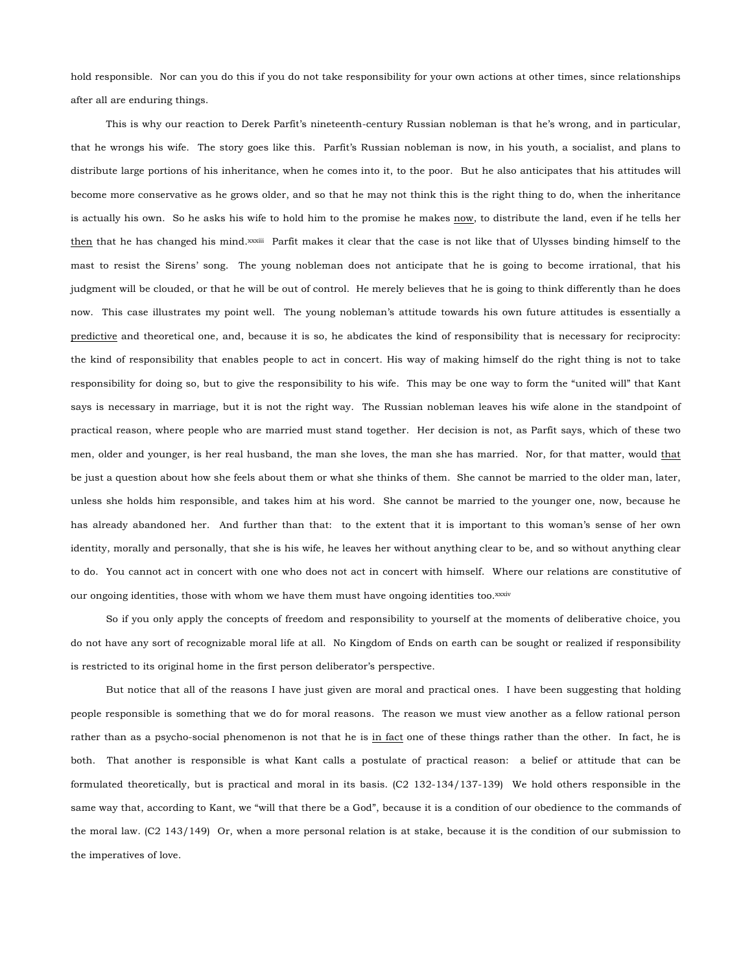hold responsible. Nor can you do this if you do not take responsibility for your own actions at other times, since relationships after all are enduring things.

This is why our reaction to Derek Parfit's nineteenth-century Russian nobleman is that he's wrong, and in particular, that he wrongs his wife. The story goes like this. Parfit's Russian nobleman is now, in his youth, a socialist, and plans to distribute large portions of his inheritance, when he comes into it, to the poor.But he also anticipates that his attitudes will become more conservative as he grows older, and so that he may not think this is the right thing to do, when the inheritance is actually his own. So he asks his wife to hold him to the promise he makes now, to distribute the land, even if he tells her then that he has changed his mind.xxxiii Parfit makes it clear that the case is not like that of Ulysses binding himself to the mast to resist the Sirens' song. The young nobleman does not anticipate that he is going to become irrational, that his judgment will be clouded, or that he will be out of control. He merely believes that he is going to think differently than he does now. This case illustrates my point well. The young nobleman's attitude towards his own future attitudes is essentially a predictive and theoretical one, and, because it is so, he abdicates the kind of responsibility that is necessary for reciprocity: the kind of responsibility that enables people to act in concert. His way of making himself do the right thing is not to take responsibility for doing so, but to give the responsibility to his wife. This may be one way to form the "united will" that Kant says is necessary in marriage, but it is not the right way. The Russian nobleman leaves his wife alone in the standpoint of practical reason, where people who are married must stand together. Her decision is not, as Parfit says, which of these two men, older and younger, is her real husband, the man she loves, the man she has married. Nor, for that matter, would that be just a question about how she feels about them or what she thinks of them. She cannot be married to the older man, later, unless she holds him responsible, and takes him at his word. She cannot be married to the younger one, now, because he has already abandoned her. And further than that: to the extent that it is important to this woman's sense of her own identity, morally and personally, that she is his wife, he leaves her without anything clear to be, and so without anything clear to do. You cannot act in concert with one who does not act in concert with himself. Where our relations are constitutive of our ongoing identities, those with whom we have them must have ongoing identities too.xxxiv

So if you only apply the concepts of freedom and responsibility to yourself at the moments of deliberative choice, you do not have any sort of recognizable moral life at all. No Kingdom of Ends on earth can be sought or realized if responsibility is restricted to its original home in the first person deliberator's perspective.

But notice that all of the reasons I have just given are moral and practical ones. I have been suggesting that holding people responsible is something that we do for moral reasons. The reason we must view another as a fellow rational person rather than as a psycho-social phenomenon is not that he is in fact one of these things rather than the other. In fact, he is both. That another is responsible is what Kant calls a postulate of practical reason: a belief or attitude that can be formulated theoretically, but is practical and moral in its basis. (C2 132-134/137-139) We hold others responsible in the same way that, according to Kant, we "will that there be a God", because it is a condition of our obedience to the commands of the moral law. (C2 143/149) Or, when a more personal relation is at stake, because it is the condition of our submission to the imperatives of love.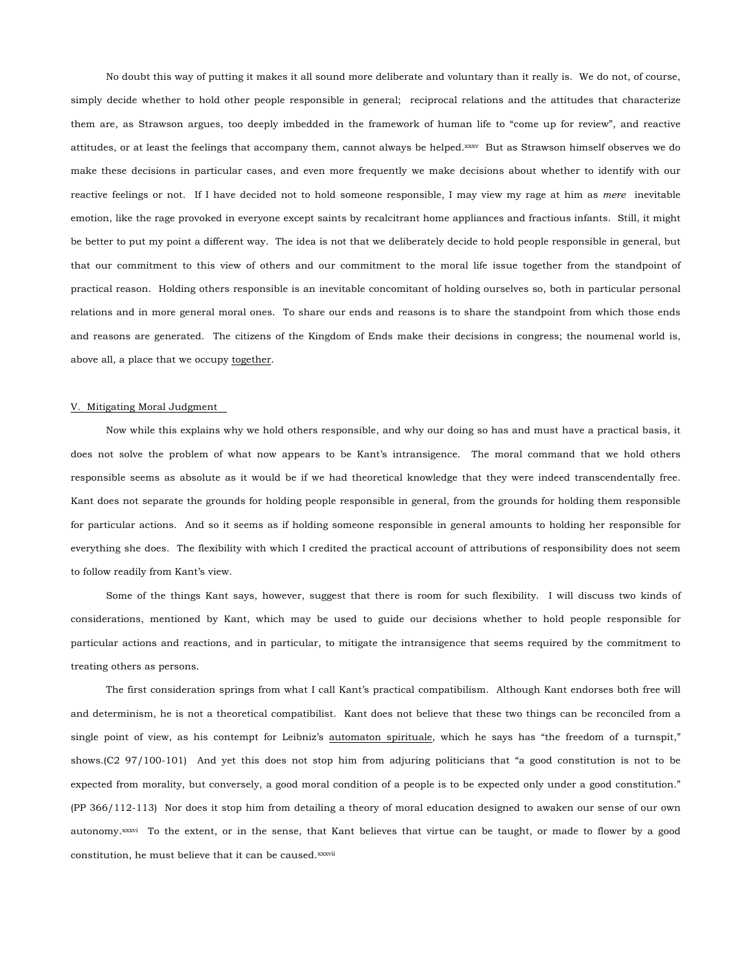No doubt this way of putting it makes it all sound more deliberate and voluntary than it really is. We do not, of course, simply decide whether to hold other people responsible in general; reciprocal relations and the attitudes that characterize them are, as Strawson argues, too deeply imbedded in the framework of human life to "come up for review", and reactive attitudes, or at least the feelings that accompany them, cannot always be helped.xxxv But as Strawson himself observes we do make these decisions in particular cases, and even more frequently we make decisions about whether to identify with our reactive feelings or not. If I have decided not to hold someone responsible, I may view my rage at him as *mere* inevitable emotion, like the rage provoked in everyone except saints by recalcitrant home appliances and fractious infants. Still, it might be better to put my point a different way. The idea is not that we deliberately decide to hold people responsible in general, but that our commitment to this view of others and our commitment to the moral life issue together from the standpoint of practical reason. Holding others responsible is an inevitable concomitant of holding ourselves so, both in particular personal relations and in more general moral ones. To share our ends and reasons is to share the standpoint from which those ends and reasons are generated. The citizens of the Kingdom of Ends make their decisions in congress; the noumenal world is, above all, a place that we occupy together.

#### V. Mitigating Moral Judgment

Now while this explains why we hold others responsible, and why our doing so has and must have a practical basis, it does not solve the problem of what now appears to be Kant's intransigence. The moral command that we hold others responsible seems as absolute as it would be if we had theoretical knowledge that they were indeed transcendentally free. Kant does not separate the grounds for holding people responsible in general, from the grounds for holding them responsible for particular actions. And so it seems as if holding someone responsible in general amounts to holding her responsible for everything she does. The flexibility with which I credited the practical account of attributions of responsibility does not seem to follow readily from Kant's view.

Some of the things Kant says, however, suggest that there is room for such flexibility. I will discuss two kinds of considerations, mentioned by Kant, which may be used to guide our decisions whether to hold people responsible for particular actions and reactions, and in particular, to mitigate the intransigence that seems required by the commitment to treating others as persons.

The first consideration springs from what I call Kant's practical compatibilism. Although Kant endorses both free will and determinism, he is not a theoretical compatibilist. Kant does not believe that these two things can be reconciled from a single point of view, as his contempt for Leibniz's automaton spirituale, which he says has "the freedom of a turnspit," shows.(C2 97/100-101) And yet this does not stop him from adjuring politicians that "a good constitution is not to be expected from morality, but conversely, a good moral condition of a people is to be expected only under a good constitution." (PP 366/112-113) Nor does it stop him from detailing a theory of moral education designed to awaken our sense of our own autonomy.xxxvi To the extent, or in the sense, that Kant believes that virtue can be taught, or made to flower by a good constitution, he must believe that it can be caused.xxxvii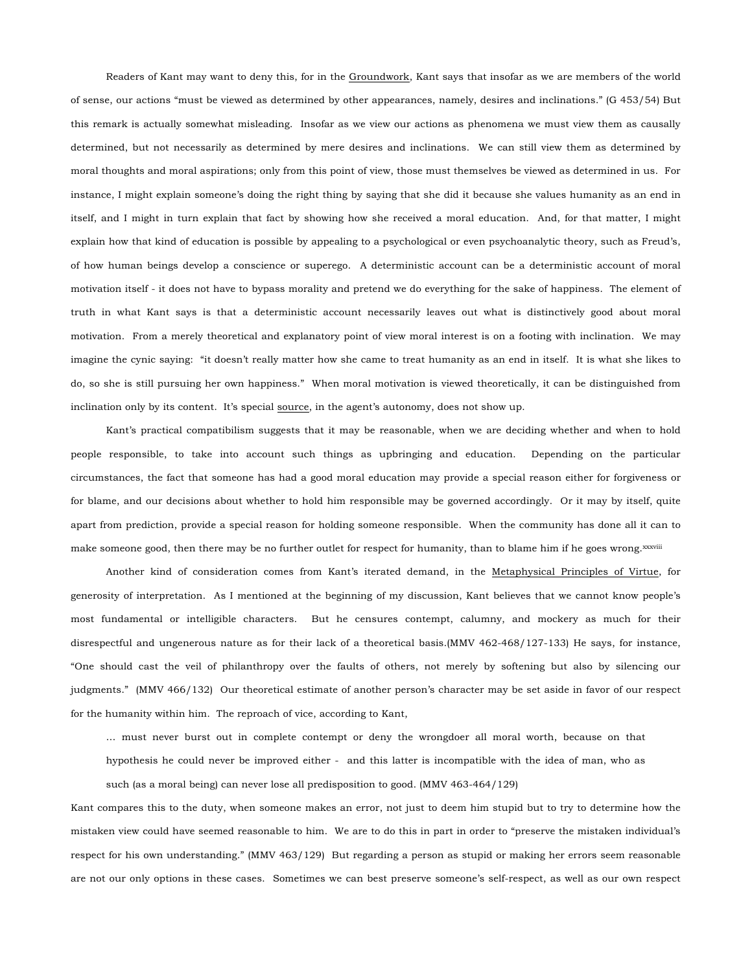Readers of Kant may want to deny this, for in the Groundwork, Kant says that insofar as we are members of the world of sense, our actions "must be viewed as determined by other appearances, namely, desires and inclinations." (G 453/54) But this remark is actually somewhat misleading. Insofar as we view our actions as phenomena we must view them as causally determined, but not necessarily as determined by mere desires and inclinations. We can still view them as determined by moral thoughts and moral aspirations; only from this point of view, those must themselves be viewed as determined in us. For instance, I might explain someone's doing the right thing by saying that she did it because she values humanity as an end in itself, and I might in turn explain that fact by showing how she received a moral education. And, for that matter, I might explain how that kind of education is possible by appealing to a psychological or even psychoanalytic theory, such as Freud's, of how human beings develop a conscience or superego. A deterministic account can be a deterministic account of moral motivation itself - it does not have to bypass morality and pretend we do everything for the sake of happiness. The element of truth in what Kant says is that a deterministic account necessarily leaves out what is distinctively good about moral motivation. From a merely theoretical and explanatory point of view moral interest is on a footing with inclination. We may imagine the cynic saying: "it doesn't really matter how she came to treat humanity as an end in itself. It is what she likes to do, so she is still pursuing her own happiness." When moral motivation is viewed theoretically, it can be distinguished from inclination only by its content. It's special source, in the agent's autonomy, does not show up.

Kant's practical compatibilism suggests that it may be reasonable, when we are deciding whether and when to hold people responsible, to take into account such things as upbringing and education. Depending on the particular circumstances, the fact that someone has had a good moral education may provide a special reason either for forgiveness or for blame, and our decisions about whether to hold him responsible may be governed accordingly. Or it may by itself, quite apart from prediction, provide a special reason for holding someone responsible. When the community has done all it can to make someone good, then there may be no further outlet for respect for humanity, than to blame him if he goes wrong.xxxviii

Another kind of consideration comes from Kant's iterated demand, in the Metaphysical Principles of Virtue, for generosity of interpretation. As I mentioned at the beginning of my discussion, Kant believes that we cannot know people's most fundamental or intelligible characters. But he censures contempt, calumny, and mockery as much for their disrespectful and ungenerous nature as for their lack of a theoretical basis.(MMV 462-468/127-133) He says, for instance, "One should cast the veil of philanthropy over the faults of others, not merely by softening but also by silencing our judgments." (MMV 466/132) Our theoretical estimate of another person's character may be set aside in favor of our respect for the humanity within him. The reproach of vice, according to Kant,

… must never burst out in complete contempt or deny the wrongdoer all moral worth, because on that

hypothesis he could never be improved either - and this latter is incompatible with the idea of man, who as

such (as a moral being) can never lose all predisposition to good. (MMV 463-464/129)

Kant compares this to the duty, when someone makes an error, not just to deem him stupid but to try to determine how the mistaken view could have seemed reasonable to him. We are to do this in part in order to "preserve the mistaken individual's respect for his own understanding." (MMV 463/129) But regarding a person as stupid or making her errors seem reasonable are not our only options in these cases. Sometimes we can best preserve someone's self-respect, as well as our own respect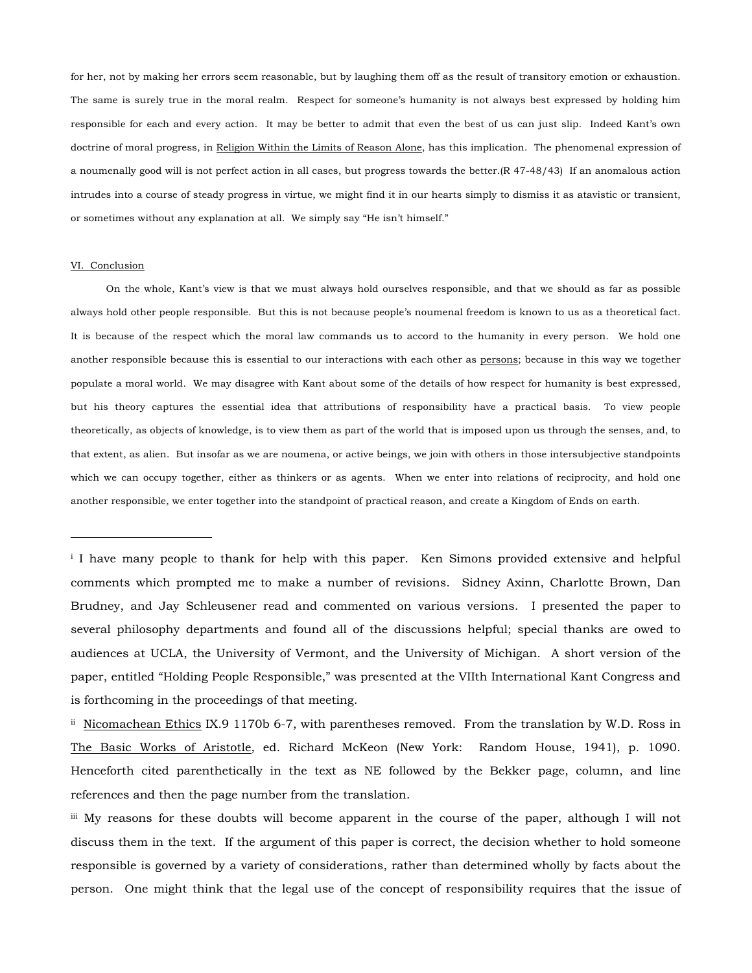for her, not by making her errors seem reasonable, but by laughing them off as the result of transitory emotion or exhaustion. The same is surely true in the moral realm. Respect for someone's humanity is not always best expressed by holding him responsible for each and every action. It may be better to admit that even the best of us can just slip. Indeed Kant's own doctrine of moral progress, in Religion Within the Limits of Reason Alone, has this implication. The phenomenal expression of a noumenally good will is not perfect action in all cases, but progress towards the better.(R 47-48/43) If an anomalous action intrudes into a course of steady progress in virtue, we might find it in our hearts simply to dismiss it as atavistic or transient, or sometimes without any explanation at all. We simply say "He isn't himself."

#### VI. Conclusion

 $\overline{a}$ 

On the whole, Kant's view is that we must always hold ourselves responsible, and that we should as far as possible always hold other people responsible. But this is not because people's noumenal freedom is known to us as a theoretical fact. It is because of the respect which the moral law commands us to accord to the humanity in every person. We hold one another responsible because this is essential to our interactions with each other as persons; because in this way we together populate a moral world. We may disagree with Kant about some of the details of how respect for humanity is best expressed, but his theory captures the essential idea that attributions of responsibility have a practical basis. To view people theoretically, as objects of knowledge, is to view them as part of the world that is imposed upon us through the senses, and, to that extent, as alien. But insofar as we are noumena, or active beings, we join with others in those intersubjective standpoints which we can occupy together, either as thinkers or as agents. When we enter into relations of reciprocity, and hold one another responsible, we enter together into the standpoint of practical reason, and create a Kingdom of Ends on earth.

<sup>i</sup> I have many people to thank for help with this paper. Ken Simons provided extensive and helpful comments which prompted me to make a number of revisions. Sidney Axinn, Charlotte Brown, Dan Brudney, and Jay Schleusener read and commented on various versions. I presented the paper to several philosophy departments and found all of the discussions helpful; special thanks are owed to audiences at UCLA, the University of Vermont, and the University of Michigan. A short version of the paper, entitled "Holding People Responsible," was presented at the VIIth International Kant Congress and is forthcoming in the proceedings of that meeting.

ii Nicomachean Ethics IX.9 1170b 6-7, with parentheses removed. From the translation by W.D. Ross in The Basic Works of Aristotle, ed. Richard McKeon (New York: Random House, 1941), p. 1090. Henceforth cited parenthetically in the text as NE followed by the Bekker page, column, and line references and then the page number from the translation.

iii My reasons for these doubts will become apparent in the course of the paper, although I will not discuss them in the text. If the argument of this paper is correct, the decision whether to hold someone responsible is governed by a variety of considerations, rather than determined wholly by facts about the person. One might think that the legal use of the concept of responsibility requires that the issue of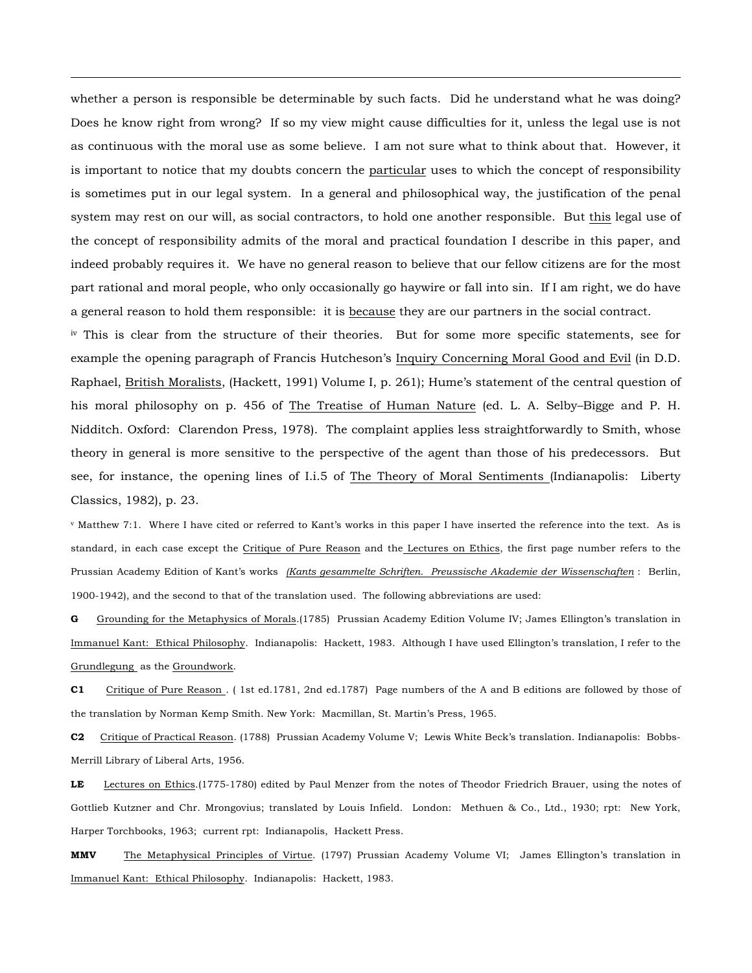whether a person is responsible be determinable by such facts. Did he understand what he was doing? Does he know right from wrong? If so my view might cause difficulties for it, unless the legal use is not as continuous with the moral use as some believe. I am not sure what to think about that. However, it is important to notice that my doubts concern the particular uses to which the concept of responsibility is sometimes put in our legal system. In a general and philosophical way, the justification of the penal system may rest on our will, as social contractors, to hold one another responsible. But this legal use of the concept of responsibility admits of the moral and practical foundation I describe in this paper, and indeed probably requires it. We have no general reason to believe that our fellow citizens are for the most part rational and moral people, who only occasionally go haywire or fall into sin. If I am right, we do have a general reason to hold them responsible: it is because they are our partners in the social contract.

 $\overline{a}$ 

iv This is clear from the structure of their theories. But for some more specific statements, see for example the opening paragraph of Francis Hutcheson's Inquiry Concerning Moral Good and Evil (in D.D. Raphael, British Moralists, (Hackett, 1991) Volume I, p. 261); Hume's statement of the central question of his moral philosophy on p. 456 of The Treatise of Human Nature (ed. L. A. Selby–Bigge and P. H. Nidditch. Oxford: Clarendon Press, 1978). The complaint applies less straightforwardly to Smith, whose theory in general is more sensitive to the perspective of the agent than those of his predecessors. But see, for instance, the opening lines of I.i.5 of The Theory of Moral Sentiments (Indianapolis: Liberty Classics, 1982), p. 23.

<sup>v</sup> Matthew 7:1. Where I have cited or referred to Kant's works in this paper I have inserted the reference into the text. As is standard, in each case except the Critique of Pure Reason and the Lectures on Ethics, the first page number refers to the Prussian Academy Edition of Kant's works *(Kants gesammelte Schriften. Preussische Akademie der Wissenschaften* : Berlin, 1900-1942), and the second to that of the translation used. The following abbreviations are used:

**G** Grounding for the Metaphysics of Morals.(1785) Prussian Academy Edition Volume IV; James Ellington's translation in Immanuel Kant: Ethical Philosophy. Indianapolis: Hackett, 1983. Although I have used Ellington's translation, I refer to the Grundlegung as the Groundwork.

**C1** Critique of Pure Reason . ( 1st ed.1781, 2nd ed.1787) Page numbers of the A and B editions are followed by those of the translation by Norman Kemp Smith. New York: Macmillan, St. Martin's Press, 1965.

**C2** Critique of Practical Reason. (1788) Prussian Academy Volume V; Lewis White Beck's translation. Indianapolis: Bobbs-Merrill Library of Liberal Arts, 1956.

**LE** Lectures on Ethics.(1775-1780) edited by Paul Menzer from the notes of Theodor Friedrich Brauer, using the notes of Gottlieb Kutzner and Chr. Mrongovius; translated by Louis Infield. London: Methuen & Co., Ltd., 1930; rpt: New York, Harper Torchbooks, 1963; current rpt: Indianapolis, Hackett Press.

**MMV** The Metaphysical Principles of Virtue. (1797) Prussian Academy Volume VI; James Ellington's translation in Immanuel Kant: Ethical Philosophy. Indianapolis: Hackett, 1983.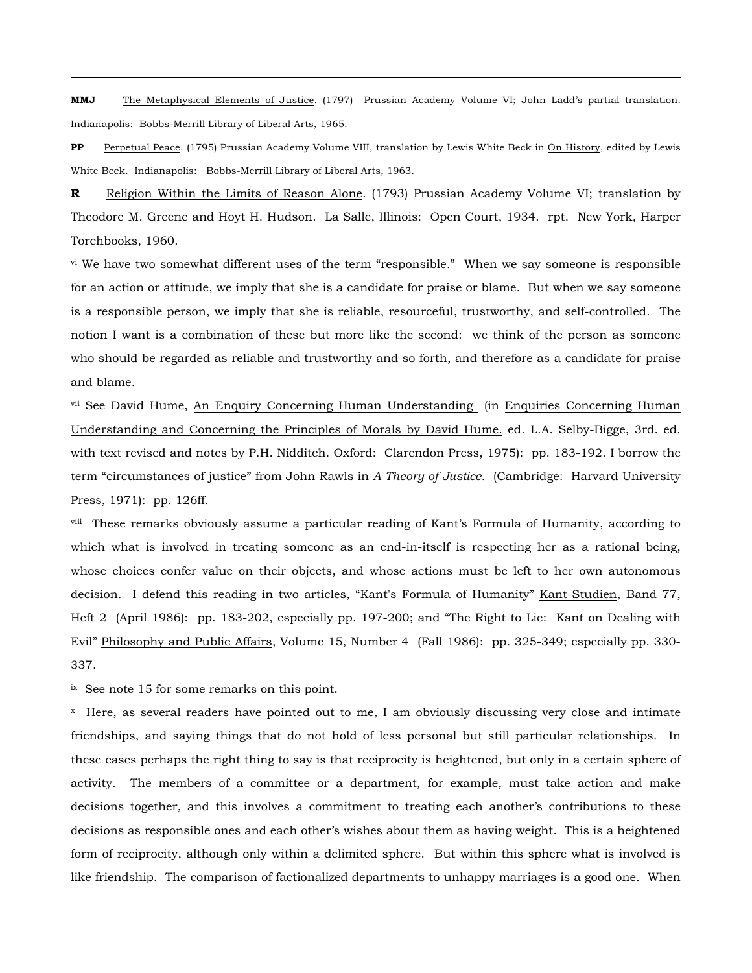**MMJ** The Metaphysical Elements of Justice. (1797) Prussian Academy Volume VI; John Ladd's partial translation. Indianapolis: Bobbs-Merrill Library of Liberal Arts, 1965.

**PP** Perpetual Peace. (1795) Prussian Academy Volume VIII, translation by Lewis White Beck in On History, edited by Lewis White Beck. Indianapolis: Bobbs-Merrill Library of Liberal Arts, 1963.

**R** Religion Within the Limits of Reason Alone. (1793) Prussian Academy Volume VI; translation by Theodore M. Greene and Hoyt H. Hudson. La Salle, Illinois: Open Court, 1934. rpt. New York, Harper Torchbooks, 1960.

vi We have two somewhat different uses of the term "responsible." When we say someone is responsible for an action or attitude, we imply that she is a candidate for praise or blame. But when we say someone is a responsible person, we imply that she is reliable, resourceful, trustworthy, and self-controlled. The notion I want is a combination of these but more like the second: we think of the person as someone who should be regarded as reliable and trustworthy and so forth, and therefore as a candidate for praise and blame.

vii See David Hume, An Enquiry Concerning Human Understanding (in Enquiries Concerning Human Understanding and Concerning the Principles of Morals by David Hume. ed. L.A. Selby-Bigge, 3rd. ed. with text revised and notes by P.H. Nidditch. Oxford: Clarendon Press, 1975): pp. 183-192. I borrow the term "circumstances of justice" from John Rawls in *A Theory of Justice*. (Cambridge: Harvard University Press, 1971): pp. 126ff.

viii These remarks obviously assume a particular reading of Kant's Formula of Humanity, according to which what is involved in treating someone as an end-in-itself is respecting her as a rational being, whose choices confer value on their objects, and whose actions must be left to her own autonomous decision. I defend this reading in two articles, "Kant's Formula of Humanity" Kant-Studien, Band 77, Heft 2 (April 1986): pp. 183-202, especially pp. 197-200; and "The Right to Lie: Kant on Dealing with Evil" Philosophy and Public Affairs, Volume 15, Number 4 (Fall 1986): pp. 325-349; especially pp. 330- 337.

ix See note 15 for some remarks on this point.

 $\overline{a}$ 

x Here, as several readers have pointed out to me, I am obviously discussing very close and intimate friendships, and saying things that do not hold of less personal but still particular relationships. In these cases perhaps the right thing to say is that reciprocity is heightened, but only in a certain sphere of activity. The members of a committee or a department, for example, must take action and make decisions together, and this involves a commitment to treating each another's contributions to these decisions as responsible ones and each other's wishes about them as having weight. This is a heightened form of reciprocity, although only within a delimited sphere. But within this sphere what is involved is like friendship. The comparison of factionalized departments to unhappy marriages is a good one. When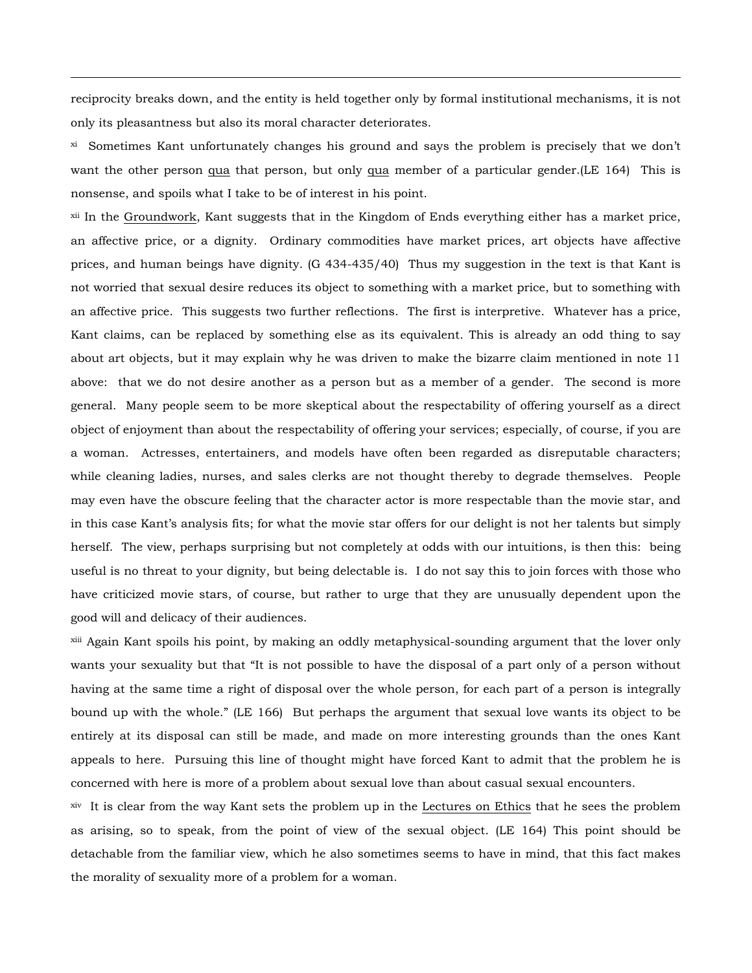reciprocity breaks down, and the entity is held together only by formal institutional mechanisms, it is not only its pleasantness but also its moral character deteriorates.

 $\overline{a}$ 

xi Sometimes Kant unfortunately changes his ground and says the problem is precisely that we don't want the other person qua that person, but only qua member of a particular gender. (LE 164) This is nonsense, and spoils what I take to be of interest in his point.

xii In the Groundwork, Kant suggests that in the Kingdom of Ends everything either has a market price, an affective price, or a dignity. Ordinary commodities have market prices, art objects have affective prices, and human beings have dignity. (G 434-435/40) Thus my suggestion in the text is that Kant is not worried that sexual desire reduces its object to something with a market price, but to something with an affective price. This suggests two further reflections. The first is interpretive. Whatever has a price, Kant claims, can be replaced by something else as its equivalent. This is already an odd thing to say about art objects, but it may explain why he was driven to make the bizarre claim mentioned in note 11 above: that we do not desire another as a person but as a member of a gender. The second is more general. Many people seem to be more skeptical about the respectability of offering yourself as a direct object of enjoyment than about the respectability of offering your services; especially, of course, if you are a woman. Actresses, entertainers, and models have often been regarded as disreputable characters; while cleaning ladies, nurses, and sales clerks are not thought thereby to degrade themselves. People may even have the obscure feeling that the character actor is more respectable than the movie star, and in this case Kant's analysis fits; for what the movie star offers for our delight is not her talents but simply herself. The view, perhaps surprising but not completely at odds with our intuitions, is then this: being useful is no threat to your dignity, but being delectable is. I do not say this to join forces with those who have criticized movie stars, of course, but rather to urge that they are unusually dependent upon the good will and delicacy of their audiences.

xiii Again Kant spoils his point, by making an oddly metaphysical-sounding argument that the lover only wants your sexuality but that "It is not possible to have the disposal of a part only of a person without having at the same time a right of disposal over the whole person, for each part of a person is integrally bound up with the whole." (LE 166) But perhaps the argument that sexual love wants its object to be entirely at its disposal can still be made, and made on more interesting grounds than the ones Kant appeals to here. Pursuing this line of thought might have forced Kant to admit that the problem he is concerned with here is more of a problem about sexual love than about casual sexual encounters.

xiv It is clear from the way Kant sets the problem up in the Lectures on Ethics that he sees the problem as arising, so to speak, from the point of view of the sexual object. (LE 164) This point should be detachable from the familiar view, which he also sometimes seems to have in mind, that this fact makes the morality of sexuality more of a problem for a woman.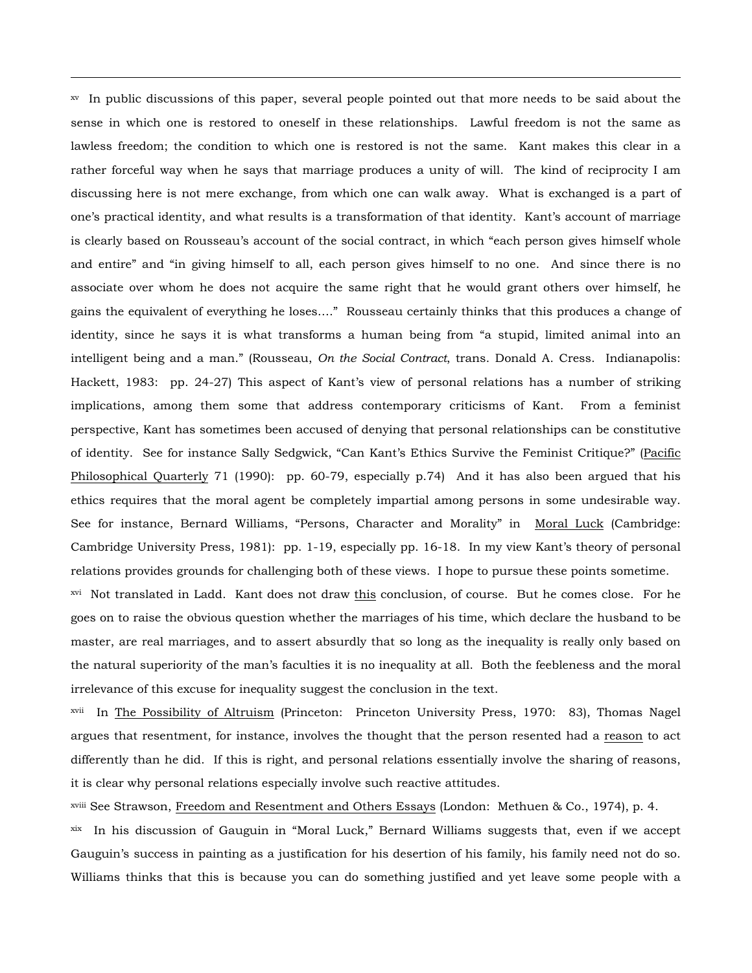xv In public discussions of this paper, several people pointed out that more needs to be said about the sense in which one is restored to oneself in these relationships. Lawful freedom is not the same as lawless freedom; the condition to which one is restored is not the same. Kant makes this clear in a rather forceful way when he says that marriage produces a unity of will. The kind of reciprocity I am discussing here is not mere exchange, from which one can walk away. What is exchanged is a part of one's practical identity, and what results is a transformation of that identity. Kant's account of marriage is clearly based on Rousseau's account of the social contract, in which "each person gives himself whole and entire" and "in giving himself to all, each person gives himself to no one. And since there is no associate over whom he does not acquire the same right that he would grant others over himself, he gains the equivalent of everything he loses…." Rousseau certainly thinks that this produces a change of identity, since he says it is what transforms a human being from "a stupid, limited animal into an intelligent being and a man." (Rousseau, *On the Social Contract*, trans. Donald A. Cress. Indianapolis: Hackett, 1983: pp. 24-27) This aspect of Kant's view of personal relations has a number of striking implications, among them some that address contemporary criticisms of Kant. From a feminist perspective, Kant has sometimes been accused of denying that personal relationships can be constitutive of identity. See for instance Sally Sedgwick, "Can Kant's Ethics Survive the Feminist Critique?" (Pacific Philosophical Quarterly 71 (1990): pp. 60-79, especially p.74) And it has also been argued that his ethics requires that the moral agent be completely impartial among persons in some undesirable way. See for instance, Bernard Williams, "Persons, Character and Morality" in Moral Luck (Cambridge: Cambridge University Press, 1981): pp. 1-19, especially pp. 16-18. In my view Kant's theory of personal relations provides grounds for challenging both of these views. I hope to pursue these points sometime. <sup>xvi</sup> Not translated in Ladd. Kant does not draw this conclusion, of course. But he comes close. For he goes on to raise the obvious question whether the marriages of his time, which declare the husband to be

 $\overline{a}$ 

master, are real marriages, and to assert absurdly that so long as the inequality is really only based on the natural superiority of the man's faculties it is no inequality at all. Both the feebleness and the moral irrelevance of this excuse for inequality suggest the conclusion in the text.

xvii In The Possibility of Altruism (Princeton: Princeton University Press, 1970: 83), Thomas Nagel argues that resentment, for instance, involves the thought that the person resented had a reason to act differently than he did. If this is right, and personal relations essentially involve the sharing of reasons, it is clear why personal relations especially involve such reactive attitudes.

xviii See Strawson, Freedom and Resentment and Others Essays (London: Methuen & Co., 1974), p. 4.

xix In his discussion of Gauguin in "Moral Luck," Bernard Williams suggests that, even if we accept Gauguin's success in painting as a justification for his desertion of his family, his family need not do so. Williams thinks that this is because you can do something justified and yet leave some people with a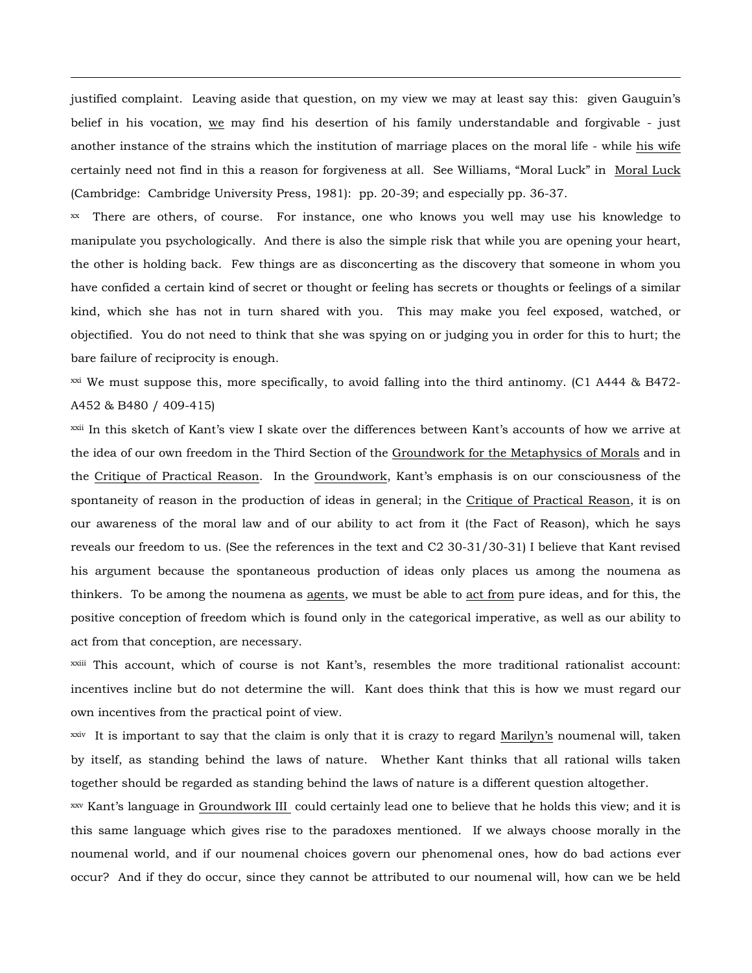justified complaint. Leaving aside that question, on my view we may at least say this: given Gauguin's belief in his vocation, we may find his desertion of his family understandable and forgivable - just another instance of the strains which the institution of marriage places on the moral life - while his wife certainly need not find in this a reason for forgiveness at all. See Williams, "Moral Luck" in Moral Luck (Cambridge: Cambridge University Press, 1981): pp. 20-39; and especially pp. 36-37.

 $\overline{a}$ 

 $x^2$  There are others, of course. For instance, one who knows you well may use his knowledge to manipulate you psychologically. And there is also the simple risk that while you are opening your heart, the other is holding back. Few things are as disconcerting as the discovery that someone in whom you have confided a certain kind of secret or thought or feeling has secrets or thoughts or feelings of a similar kind, which she has not in turn shared with you. This may make you feel exposed, watched, or objectified. You do not need to think that she was spying on or judging you in order for this to hurt; the bare failure of reciprocity is enough.

xxi We must suppose this, more specifically, to avoid falling into the third antinomy. (C1 A444 & B472- A452 & B480 / 409-415)

xxii In this sketch of Kant's view I skate over the differences between Kant's accounts of how we arrive at the idea of our own freedom in the Third Section of the Groundwork for the Metaphysics of Morals and in the Critique of Practical Reason. In the Groundwork, Kant's emphasis is on our consciousness of the spontaneity of reason in the production of ideas in general; in the Critique of Practical Reason, it is on our awareness of the moral law and of our ability to act from it (the Fact of Reason), which he says reveals our freedom to us. (See the references in the text and C2 30-31/30-31) I believe that Kant revised his argument because the spontaneous production of ideas only places us among the noumena as thinkers. To be among the noumena as agents, we must be able to act from pure ideas, and for this, the positive conception of freedom which is found only in the categorical imperative, as well as our ability to act from that conception, are necessary.

xxiii This account, which of course is not Kant's, resembles the more traditional rationalist account: incentives incline but do not determine the will. Kant does think that this is how we must regard our own incentives from the practical point of view.

<sup>xxiv</sup> It is important to say that the claim is only that it is crazy to regard Marilyn's noumenal will, taken by itself, as standing behind the laws of nature. Whether Kant thinks that all rational wills taken together should be regarded as standing behind the laws of nature is a different question altogether.

xxv Kant's language in Groundwork III could certainly lead one to believe that he holds this view; and it is this same language which gives rise to the paradoxes mentioned. If we always choose morally in the noumenal world, and if our noumenal choices govern our phenomenal ones, how do bad actions ever occur? And if they do occur, since they cannot be attributed to our noumenal will, how can we be held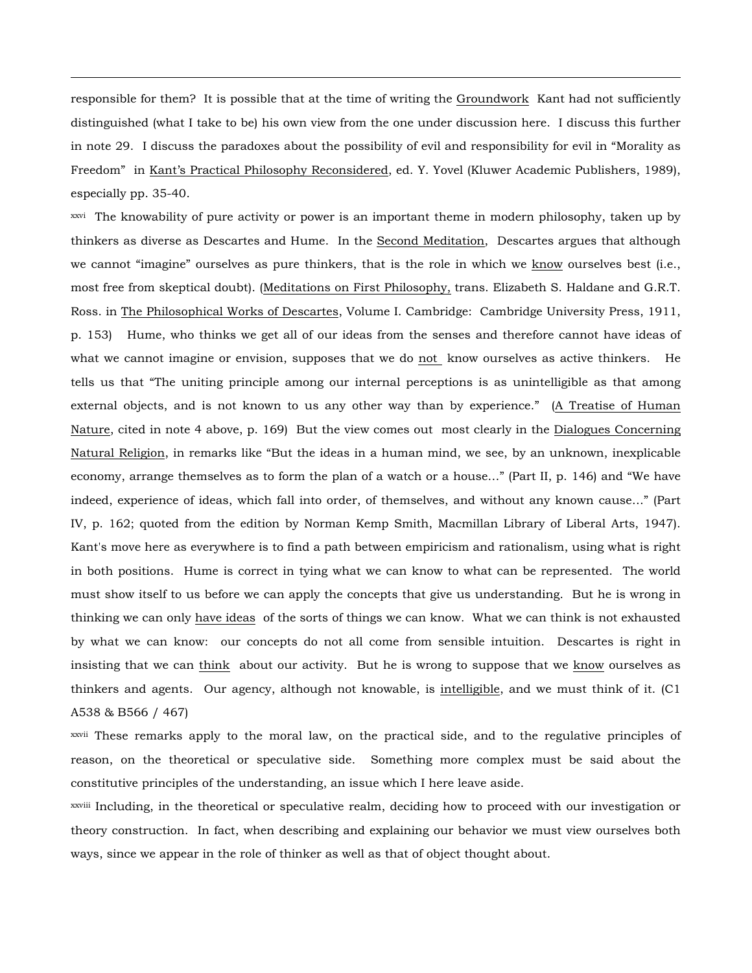responsible for them? It is possible that at the time of writing the Groundwork Kant had not sufficiently distinguished (what I take to be) his own view from the one under discussion here. I discuss this further in note 29.I discuss the paradoxes about the possibility of evil and responsibility for evil in "Morality as Freedom" in Kant's Practical Philosophy Reconsidered, ed. Y. Yovel (Kluwer Academic Publishers, 1989), especially pp. 35-40.

 $\overline{a}$ 

<sup>xxvi</sup> The knowability of pure activity or power is an important theme in modern philosophy, taken up by thinkers as diverse as Descartes and Hume. In the Second Meditation, Descartes argues that although we cannot "imagine" ourselves as pure thinkers, that is the role in which we know ourselves best (i.e., most free from skeptical doubt). (Meditations on First Philosophy, trans. Elizabeth S. Haldane and G.R.T. Ross. in The Philosophical Works of Descartes, Volume I. Cambridge: Cambridge University Press, 1911, p. 153) Hume, who thinks we get all of our ideas from the senses and therefore cannot have ideas of what we cannot imagine or envision, supposes that we do not know ourselves as active thinkers. He tells us that "The uniting principle among our internal perceptions is as unintelligible as that among external objects, and is not known to us any other way than by experience." (A Treatise of Human Nature, cited in note 4 above, p. 169) But the view comes out most clearly in the Dialogues Concerning Natural Religion, in remarks like "But the ideas in a human mind, we see, by an unknown, inexplicable economy, arrange themselves as to form the plan of a watch or a house…" (Part II, p. 146) and "We have indeed, experience of ideas, which fall into order, of themselves, and without any known cause…" (Part IV, p. 162; quoted from the edition by Norman Kemp Smith, Macmillan Library of Liberal Arts, 1947). Kant's move here as everywhere is to find a path between empiricism and rationalism, using what is right in both positions. Hume is correct in tying what we can know to what can be represented. The world must show itself to us before we can apply the concepts that give us understanding. But he is wrong in thinking we can only have ideas of the sorts of things we can know. What we can think is not exhausted by what we can know: our concepts do not all come from sensible intuition. Descartes is right in insisting that we can think about our activity. But he is wrong to suppose that we know ourselves as thinkers and agents. Our agency, although not knowable, is intelligible, and we must think of it. (C1 A538 & B566 / 467)

xxvii These remarks apply to the moral law, on the practical side, and to the regulative principles of reason, on the theoretical or speculative side. Something more complex must be said about the constitutive principles of the understanding, an issue which I here leave aside.

xxviii Including, in the theoretical or speculative realm, deciding how to proceed with our investigation or theory construction. In fact, when describing and explaining our behavior we must view ourselves both ways, since we appear in the role of thinker as well as that of object thought about.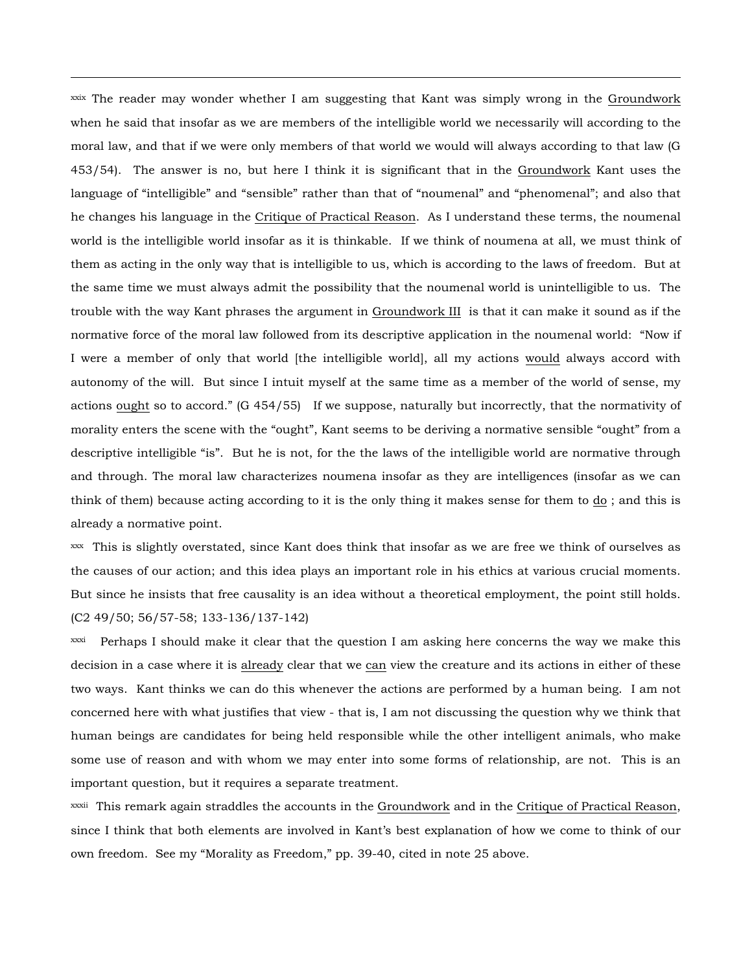<sup>xxix</sup> The reader may wonder whether I am suggesting that Kant was simply wrong in the Groundwork when he said that insofar as we are members of the intelligible world we necessarily will according to the moral law, and that if we were only members of that world we would will always according to that law (G 453/54). The answer is no, but here I think it is significant that in the Groundwork Kant uses the language of "intelligible" and "sensible" rather than that of "noumenal" and "phenomenal"; and also that he changes his language in the Critique of Practical Reason. As I understand these terms, the noumenal world is the intelligible world insofar as it is thinkable. If we think of noumena at all, we must think of them as acting in the only way that is intelligible to us, which is according to the laws of freedom. But at the same time we must always admit the possibility that the noumenal world is unintelligible to us. The trouble with the way Kant phrases the argument in Groundwork III is that it can make it sound as if the normative force of the moral law followed from its descriptive application in the noumenal world: "Now if I were a member of only that world [the intelligible world], all my actions would always accord with autonomy of the will. But since I intuit myself at the same time as a member of the world of sense, my actions ought so to accord." (G 454/55) If we suppose, naturally but incorrectly, that the normativity of morality enters the scene with the "ought", Kant seems to be deriving a normative sensible "ought" from a descriptive intelligible "is". But he is not, for the the laws of the intelligible world are normative through and through. The moral law characterizes noumena insofar as they are intelligences (insofar as we can think of them) because acting according to it is the only thing it makes sense for them to  $\underline{do}$ ; and this is already a normative point.

 $\overline{a}$ 

xxx This is slightly overstated, since Kant does think that insofar as we are free we think of ourselves as the causes of our action; and this idea plays an important role in his ethics at various crucial moments. But since he insists that free causality is an idea without a theoretical employment, the point still holds. (C2 49/50; 56/57-58; 133-136/137-142)

<sup>xxxi</sup> Perhaps I should make it clear that the question I am asking here concerns the way we make this decision in a case where it is already clear that we can view the creature and its actions in either of these two ways. Kant thinks we can do this whenever the actions are performed by a human being. I am not concerned here with what justifies that view - that is, I am not discussing the question why we think that human beings are candidates for being held responsible while the other intelligent animals, who make some use of reason and with whom we may enter into some forms of relationship, are not. This is an important question, but it requires a separate treatment.

xxxii This remark again straddles the accounts in the Groundwork and in the Critique of Practical Reason, since I think that both elements are involved in Kant's best explanation of how we come to think of our own freedom. See my "Morality as Freedom," pp. 39-40, cited in note 25 above.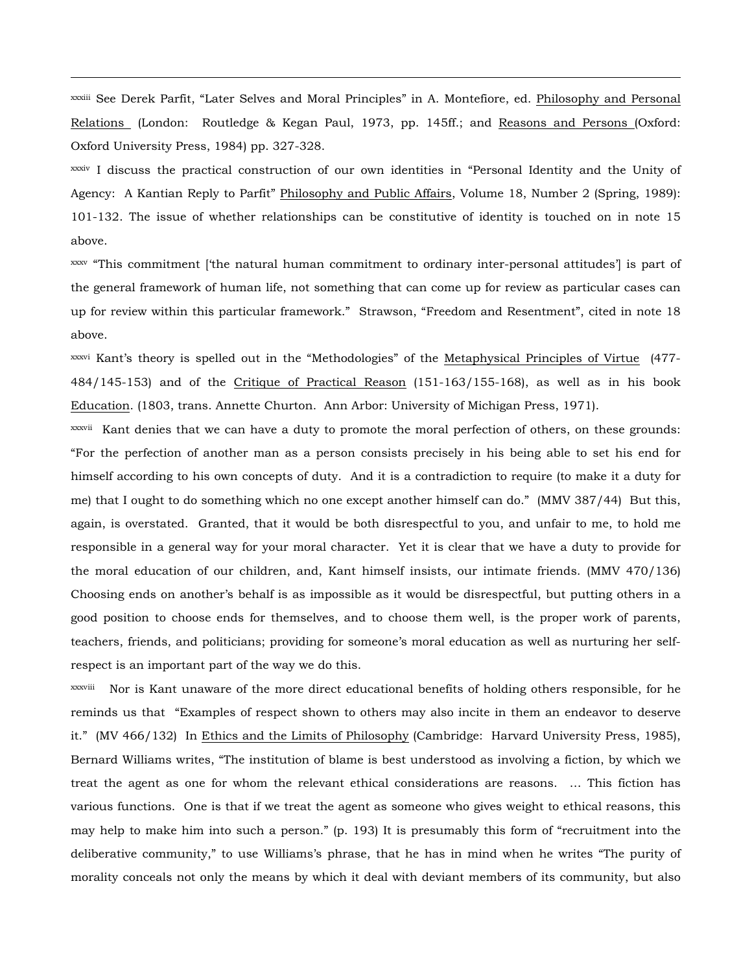xxxiii See Derek Parfit, "Later Selves and Moral Principles" in A. Montefiore, ed. Philosophy and Personal Relations (London: Routledge & Kegan Paul, 1973, pp. 145ff.; and Reasons and Persons (Oxford: Oxford University Press, 1984) pp. 327-328.

 $\overline{a}$ 

xxxiv I discuss the practical construction of our own identities in "Personal Identity and the Unity of Agency: A Kantian Reply to Parfit" Philosophy and Public Affairs, Volume 18, Number 2 (Spring, 1989): 101-132. The issue of whether relationships can be constitutive of identity is touched on in note 15 above.

xxxv "This commitment ['the natural human commitment to ordinary inter-personal attitudes'] is part of the general framework of human life, not something that can come up for review as particular cases can up for review within this particular framework." Strawson, "Freedom and Resentment", cited in note 18 above.

xxxvi Kant's theory is spelled out in the "Methodologies" of the Metaphysical Principles of Virtue (477-484/145-153) and of the Critique of Practical Reason (151-163/155-168), as well as in his book Education. (1803, trans. Annette Churton. Ann Arbor: University of Michigan Press, 1971).

xxxvii Kant denies that we can have a duty to promote the moral perfection of others, on these grounds: "For the perfection of another man as a person consists precisely in his being able to set his end for himself according to his own concepts of duty. And it is a contradiction to require (to make it a duty for me) that I ought to do something which no one except another himself can do." (MMV 387/44) But this, again, is overstated. Granted, that it would be both disrespectful to you, and unfair to me, to hold me responsible in a general way for your moral character. Yet it is clear that we have a duty to provide for the moral education of our children, and, Kant himself insists, our intimate friends. (MMV 470/136) Choosing ends on another's behalf is as impossible as it would be disrespectful, but putting others in a good position to choose ends for themselves, and to choose them well, is the proper work of parents, teachers, friends, and politicians; providing for someone's moral education as well as nurturing her selfrespect is an important part of the way we do this.

xxxviii Nor is Kant unaware of the more direct educational benefits of holding others responsible, for he reminds us that "Examples of respect shown to others may also incite in them an endeavor to deserve it." (MV 466/132) In Ethics and the Limits of Philosophy (Cambridge: Harvard University Press, 1985), Bernard Williams writes, "The institution of blame is best understood as involving a fiction, by which we treat the agent as one for whom the relevant ethical considerations are reasons. … This fiction has various functions. One is that if we treat the agent as someone who gives weight to ethical reasons, this may help to make him into such a person." (p. 193) It is presumably this form of "recruitment into the deliberative community," to use Williams's phrase, that he has in mind when he writes "The purity of morality conceals not only the means by which it deal with deviant members of its community, but also